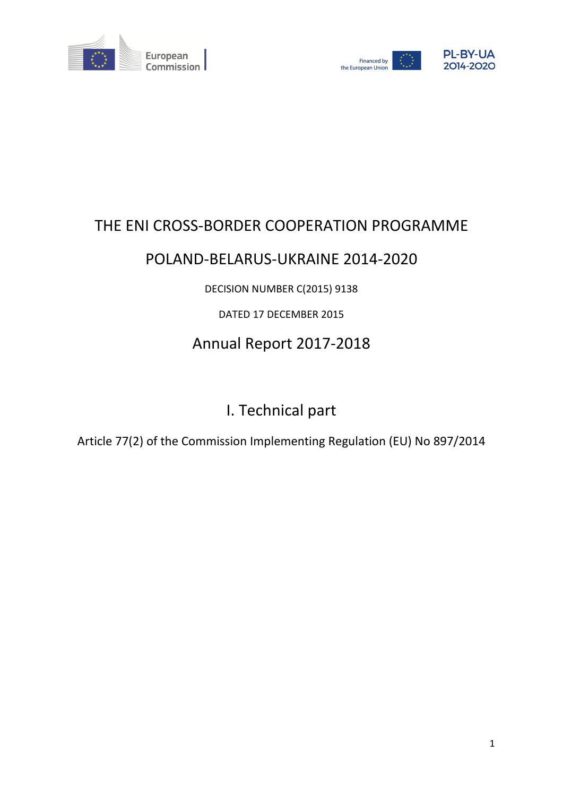



# THE ENI CROSS-BORDER COOPERATION PROGRAMME

## POLAND-BELARUS-UKRAINE 2014-2020

DECISION NUMBER C(2015) 9138

## DATED 17 DECEMBER 2015

# Annual Report 2017-2018

# I. Technical part

Article 77(2) of the Commission Implementing Regulation (EU) No 897/2014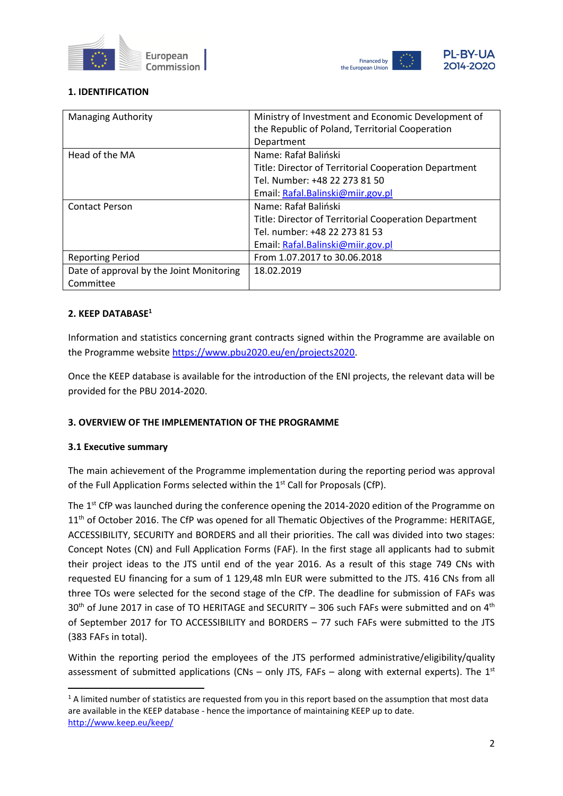



## **1. IDENTIFICATION**

| <b>Managing Authority</b>                | Ministry of Investment and Economic Development of<br>the Republic of Poland, Territorial Cooperation |
|------------------------------------------|-------------------------------------------------------------------------------------------------------|
|                                          | Department                                                                                            |
| Head of the MA                           | Name: Rafał Baliński                                                                                  |
|                                          | Title: Director of Territorial Cooperation Department                                                 |
|                                          | Tel. Number: +48 22 273 81 50                                                                         |
|                                          | Email: Rafal.Balinski@miir.gov.pl                                                                     |
| <b>Contact Person</b>                    | Name: Rafał Baliński                                                                                  |
|                                          | Title: Director of Territorial Cooperation Department                                                 |
|                                          | Tel. number: +48 22 273 81 53                                                                         |
|                                          | Email: Rafal.Balinski@miir.gov.pl                                                                     |
| <b>Reporting Period</b>                  | From 1.07.2017 to 30.06.2018                                                                          |
| Date of approval by the Joint Monitoring | 18.02.2019                                                                                            |
| Committee                                |                                                                                                       |

## **2. KEEP DATABASE<sup>1</sup>**

Information and statistics concerning grant contracts signed within the Programme are available on the Programme website [https://www.pbu2020.eu/en/projects2020.](https://www.pbu2020.eu/en/projects2020)

Once the KEEP database is available for the introduction of the ENI projects, the relevant data will be provided for the PBU 2014-2020.

### **3. OVERVIEW OF THE IMPLEMENTATION OF THE PROGRAMME**

### **3.1 Executive summary**

The main achievement of the Programme implementation during the reporting period was approval of the Full Application Forms selected within the  $1<sup>st</sup>$  Call for Proposals (CfP).

The 1<sup>st</sup> CfP was launched during the conference opening the 2014-2020 edition of the Programme on 11<sup>th</sup> of October 2016. The CfP was opened for all Thematic Objectives of the Programme: HERITAGE, ACCESSIBILITY, SECURITY and BORDERS and all their priorities. The call was divided into two stages: Concept Notes (CN) and Full Application Forms (FAF). In the first stage all applicants had to submit their project ideas to the JTS until end of the year 2016. As a result of this stage 749 CNs with requested EU financing for a sum of 1 129,48 mln EUR were submitted to the JTS. 416 CNs from all three TOs were selected for the second stage of the CfP. The deadline for submission of FAFs was  $30<sup>th</sup>$  of June 2017 in case of TO HERITAGE and SECURITY – 306 such FAFs were submitted and on  $4<sup>th</sup>$ of September 2017 for TO ACCESSIBILITY and BORDERS – 77 such FAFs were submitted to the JTS (383 FAFs in total).

Within the reporting period the employees of the JTS performed administrative/eligibility/quality assessment of submitted applications (CNs  $-$  only JTS, FAFs  $-$  along with external experts). The 1<sup>st</sup>

 $1$  A limited number of statistics are requested from you in this report based on the assumption that most data are available in the KEEP database - hence the importance of maintaining KEEP up to date. <http://www.keep.eu/keep/>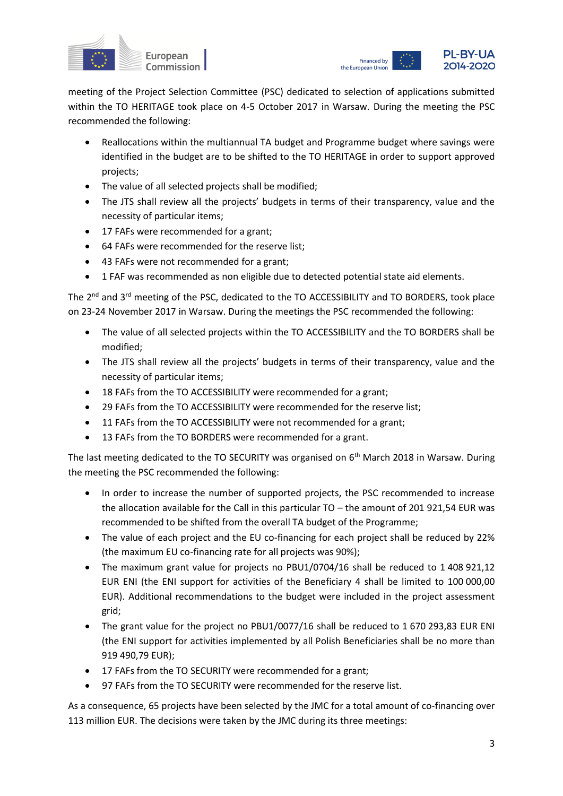



meeting of the Project Selection Committee (PSC) dedicated to selection of applications submitted within the TO HERITAGE took place on 4-5 October 2017 in Warsaw. During the meeting the PSC recommended the following:

- Reallocations within the multiannual TA budget and Programme budget where savings were identified in the budget are to be shifted to the TO HERITAGE in order to support approved projects;
- The value of all selected projects shall be modified;
- The JTS shall review all the projects' budgets in terms of their transparency, value and the necessity of particular items;
- 17 FAFs were recommended for a grant;
- 64 FAFs were recommended for the reserve list;
- 43 FAFs were not recommended for a grant;
- 1 FAF was recommended as non eligible due to detected potential state aid elements.

The 2<sup>nd</sup> and 3<sup>rd</sup> meeting of the PSC, dedicated to the TO ACCESSIBILITY and TO BORDERS, took place on 23-24 November 2017 in Warsaw. During the meetings the PSC recommended the following:

- The value of all selected projects within the TO ACCESSIBILITY and the TO BORDERS shall be modified;
- The JTS shall review all the projects' budgets in terms of their transparency, value and the necessity of particular items;
- 18 FAFs from the TO ACCESSIBILITY were recommended for a grant;
- 29 FAFs from the TO ACCESSIBILITY were recommended for the reserve list;
- 11 FAFs from the TO ACCESSIBILITY were not recommended for a grant;
- 13 FAFs from the TO BORDERS were recommended for a grant.

The last meeting dedicated to the TO SECURITY was organised on 6<sup>th</sup> March 2018 in Warsaw. During the meeting the PSC recommended the following:

- In order to increase the number of supported projects, the PSC recommended to increase the allocation available for the Call in this particular TO – the amount of 201 921,54 EUR was recommended to be shifted from the overall TA budget of the Programme;
- The value of each project and the EU co-financing for each project shall be reduced by 22% (the maximum EU co-financing rate for all projects was 90%);
- The maximum grant value for projects no PBU1/0704/16 shall be reduced to 1 408 921,12 EUR ENI (the ENI support for activities of the Beneficiary 4 shall be limited to 100 000,00 EUR). Additional recommendations to the budget were included in the project assessment grid;
- The grant value for the project no PBU1/0077/16 shall be reduced to 1 670 293.83 EUR ENI (the ENI support for activities implemented by all Polish Beneficiaries shall be no more than 919 490,79 EUR);
- 17 FAFs from the TO SECURITY were recommended for a grant;
- 97 FAFs from the TO SECURITY were recommended for the reserve list.

As a consequence, 65 projects have been selected by the JMC for a total amount of co-financing over 113 million EUR. The decisions were taken by the JMC during its three meetings: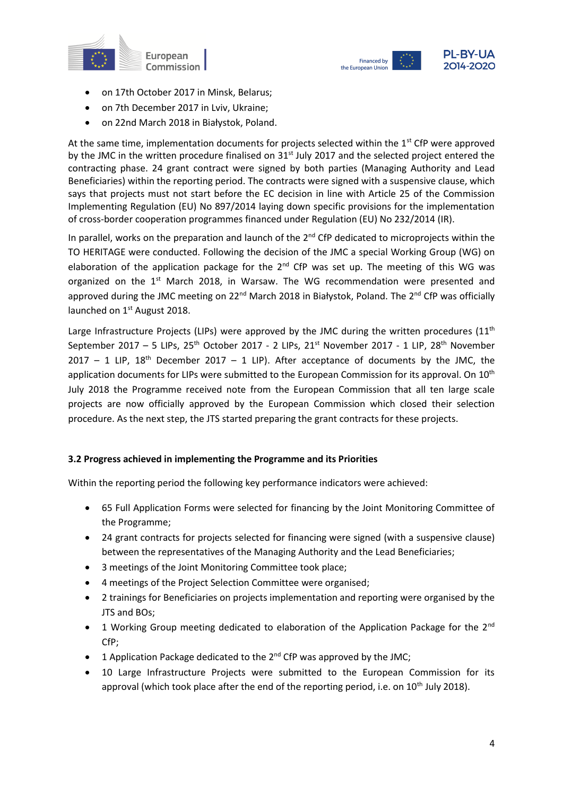



- on 17th October 2017 in Minsk, Belarus;
- on 7th December 2017 in Lviv, Ukraine;
- on 22nd March 2018 in Białystok, Poland.

At the same time, implementation documents for projects selected within the 1<sup>st</sup> CfP were approved by the JMC in the written procedure finalised on  $31<sup>st</sup>$  July 2017 and the selected project entered the contracting phase. 24 grant contract were signed by both parties (Managing Authority and Lead Beneficiaries) within the reporting period. The contracts were signed with a suspensive clause, which says that projects must not start before the EC decision in line with Article 25 of the Commission Implementing Regulation (EU) No 897/2014 laying down specific provisions for the implementation of cross-border cooperation programmes financed under Regulation (EU) No 232/2014 (IR).

In parallel, works on the preparation and launch of the 2<sup>nd</sup> CfP dedicated to microprojects within the TO HERITAGE were conducted. Following the decision of the JMC a special Working Group (WG) on elaboration of the application package for the  $2^{nd}$  CfP was set up. The meeting of this WG was organized on the  $1<sup>st</sup>$  March 2018, in Warsaw. The WG recommendation were presented and approved during the JMC meeting on 22<sup>nd</sup> March 2018 in Białystok, Poland. The 2<sup>nd</sup> CfP was officially launched on 1<sup>st</sup> August 2018.

Large Infrastructure Projects (LIPs) were approved by the JMC during the written procedures (11<sup>th</sup> September 2017 – 5 LIPs, 25<sup>th</sup> October 2017 - 2 LIPs, 21<sup>st</sup> November 2017 - 1 LIP, 28<sup>th</sup> November 2017 – 1 LIP, 18<sup>th</sup> December 2017 – 1 LIP). After acceptance of documents by the JMC, the application documents for LIPs were submitted to the European Commission for its approval. On 10<sup>th</sup> July 2018 the Programme received note from the European Commission that all ten large scale projects are now officially approved by the European Commission which closed their selection procedure. As the next step, the JTS started preparing the grant contracts for these projects.

### **3.2 Progress achieved in implementing the Programme and its Priorities**

Within the reporting period the following key performance indicators were achieved:

- 65 Full Application Forms were selected for financing by the Joint Monitoring Committee of the Programme;
- 24 grant contracts for projects selected for financing were signed (with a suspensive clause) between the representatives of the Managing Authority and the Lead Beneficiaries;
- 3 meetings of the Joint Monitoring Committee took place;
- 4 meetings of the Project Selection Committee were organised;
- 2 trainings for Beneficiaries on projects implementation and reporting were organised by the JTS and BOs;
- 1 Working Group meeting dedicated to elaboration of the Application Package for the 2<sup>nd</sup> CfP;
- 1 Application Package dedicated to the  $2^{nd}$  CfP was approved by the JMC;
- 10 Large Infrastructure Projects were submitted to the European Commission for its approval (which took place after the end of the reporting period, i.e. on 10<sup>th</sup> July 2018).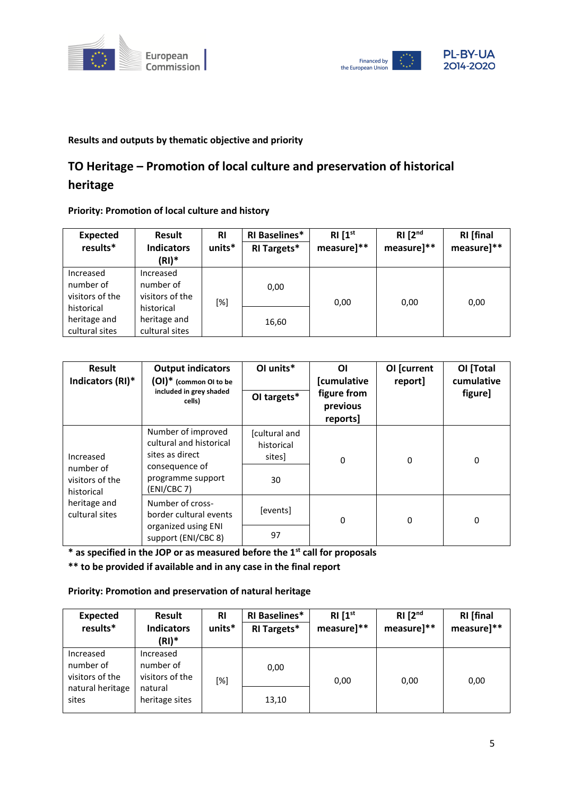



## **Results and outputs by thematic objective and priority**

## **TO Heritage – Promotion of local culture and preservation of historical**

## **heritage**

## **Priority: Promotion of local culture and history**

| <b>Expected</b> | Result            | <b>RI</b> | <b>RI Baselines*</b> | RI[1 <sup>st</sup> ] | RI [2 <sup>nd</sup> ] | <b>RI</b> [final |
|-----------------|-------------------|-----------|----------------------|----------------------|-----------------------|------------------|
| results*        | <b>Indicators</b> | units*    | <b>RI Targets*</b>   | measure]**           | measure]**            | measure]**       |
|                 | $(RI)^*$          |           |                      |                      |                       |                  |
| Increased       | Increased         |           |                      |                      |                       |                  |
| number of       | number of         |           | 0,00                 |                      |                       |                  |
| visitors of the | visitors of the   |           |                      | 0,00                 |                       | 0,00             |
| historical      | historical        | $[\%]$    |                      |                      | 0,00                  |                  |
| heritage and    | heritage and      |           | 16,60                |                      |                       |                  |
| cultural sites  | cultural sites    |           |                      |                      |                       |                  |

| <b>Result</b><br>Indicators (RI)*                       | <b>Output indicators</b><br>(OI)* (common OI to be<br>included in grey shaded<br>cells)                                | OI units*<br>OI targets*                   | ΟI<br>[cumulative<br>figure from<br>previous<br>reports] | OI [current<br>report] | OI [Total<br>cumulative<br>figure] |
|---------------------------------------------------------|------------------------------------------------------------------------------------------------------------------------|--------------------------------------------|----------------------------------------------------------|------------------------|------------------------------------|
| Increased<br>number of<br>visitors of the<br>historical | Number of improved<br>cultural and historical<br>sites as direct<br>consequence of<br>programme support<br>(ENI/CBC 7) | [cultural and<br>historical<br>sites<br>30 | 0                                                        | $\Omega$               | $\Omega$                           |
| heritage and<br>cultural sites                          | Number of cross-<br>border cultural events<br>organized using ENI<br>support (ENI/CBC 8)                               | [events]<br>97                             | 0                                                        | 0                      | $\Omega$                           |

**\* as specified in the JOP or as measured before the 1st call for proposals**

**\*\* to be provided if available and in any case in the final report**

## **Priority: Promotion and preservation of natural heritage**

| <b>Expected</b><br>results*               | Result<br><b>Indicators</b><br>$(RI)^*$   | <b>RI</b><br>units* | <b>RI Baselines*</b><br><b>RI Targets*</b> | RI[1 <sup>st</sup> ]<br>measure]** | RI [2 <sup>nd</sup> ]<br>measure]** | <b>RI</b> [final<br>measure]** |
|-------------------------------------------|-------------------------------------------|---------------------|--------------------------------------------|------------------------------------|-------------------------------------|--------------------------------|
| Increased<br>number of<br>visitors of the | Increased<br>number of<br>visitors of the | [%]                 | 0,00                                       | 0,00                               | 0,00                                | 0,00                           |
| natural heritage<br>sites                 | natural<br>heritage sites                 |                     | 13,10                                      |                                    |                                     |                                |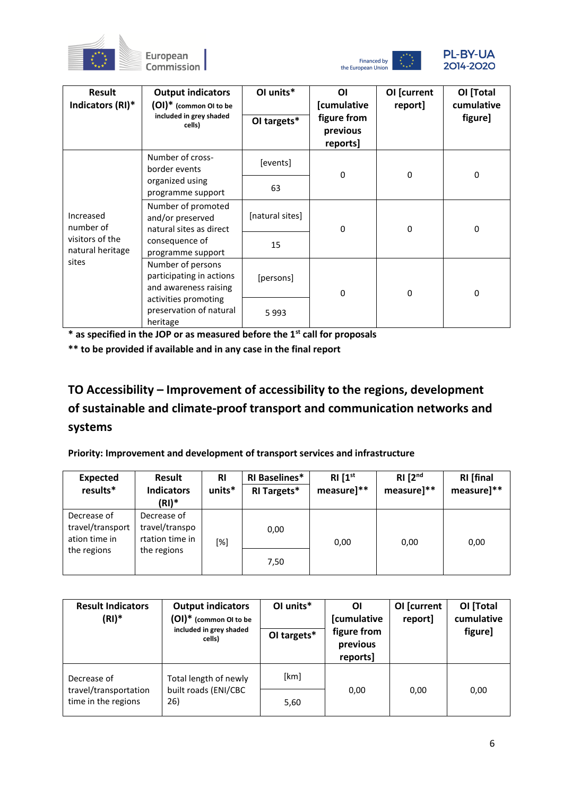





| Result<br>Indicators (RI)*          | <b>Output indicators</b><br>(OI)* (common OI to be<br>included in grey shaded<br>cells) | OI units*<br>OI targets* | ΟI<br>[cumulative<br>figure from<br>previous<br>reports] | OI [current<br>report] | OI [Total<br>cumulative<br>figure] |
|-------------------------------------|-----------------------------------------------------------------------------------------|--------------------------|----------------------------------------------------------|------------------------|------------------------------------|
|                                     | Number of cross-<br>border events<br>organized using                                    | [events]<br>63           | 0                                                        | 0                      | $\Omega$                           |
| Increased<br>number of              | programme support<br>Number of promoted<br>and/or preserved<br>natural sites as direct  | [natural sites]          | 0                                                        | $\Omega$               | $\Omega$                           |
| visitors of the<br>natural heritage | consequence of<br>programme support                                                     | 15                       |                                                          |                        |                                    |
| sites                               | Number of persons<br>participating in actions<br>and awareness raising                  | [persons]                | 0                                                        | $\Omega$               | 0                                  |
|                                     | activities promoting<br>preservation of natural<br>heritage                             | 5993                     |                                                          |                        |                                    |

**\*\* to be provided if available and in any case in the final report**

**TO Accessibility – Improvement of accessibility to the regions, development of sustainable and climate-proof transport and communication networks and systems**

**Priority: Improvement and development of transport services and infrastructure**

| <b>Expected</b>                                  | Result                                           | <b>RI</b> | <b>RI Baselines*</b> | RI[1 <sup>st</sup> ] | RI [2 <sup>nd</sup> ] | <b>RI</b> [final |
|--------------------------------------------------|--------------------------------------------------|-----------|----------------------|----------------------|-----------------------|------------------|
| results*                                         | <b>Indicators</b>                                | units*    | <b>RI Targets*</b>   | measure]**           | measure]**            | measure]**       |
|                                                  | $(RI)^*$                                         |           |                      |                      |                       |                  |
| Decrease of<br>travel/transport<br>ation time in | Decrease of<br>travel/transpo<br>rtation time in | [%]       | 0,00                 | 0,00                 | 0,00                  | 0,00             |
| the regions                                      | the regions                                      |           |                      |                      |                       |                  |
|                                                  |                                                  |           | 7,50                 |                      |                       |                  |

| <b>Result Indicators</b><br>$(RI)^*$         | <b>Output indicators</b><br>(OI)* (common OI to be<br>included in grey shaded<br>cells) | OI units*<br>OI targets* | ΟI<br>[cumulative<br>figure from<br>previous<br>reports] | OI [current<br>report] | OI [Total<br>cumulative<br>figure] |
|----------------------------------------------|-----------------------------------------------------------------------------------------|--------------------------|----------------------------------------------------------|------------------------|------------------------------------|
| Decrease of                                  | Total length of newly                                                                   | [km]                     |                                                          |                        |                                    |
| travel/transportation<br>time in the regions | built roads (ENI/CBC<br>26)                                                             | 5,60                     | 0,00                                                     | 0,00                   | 0,00                               |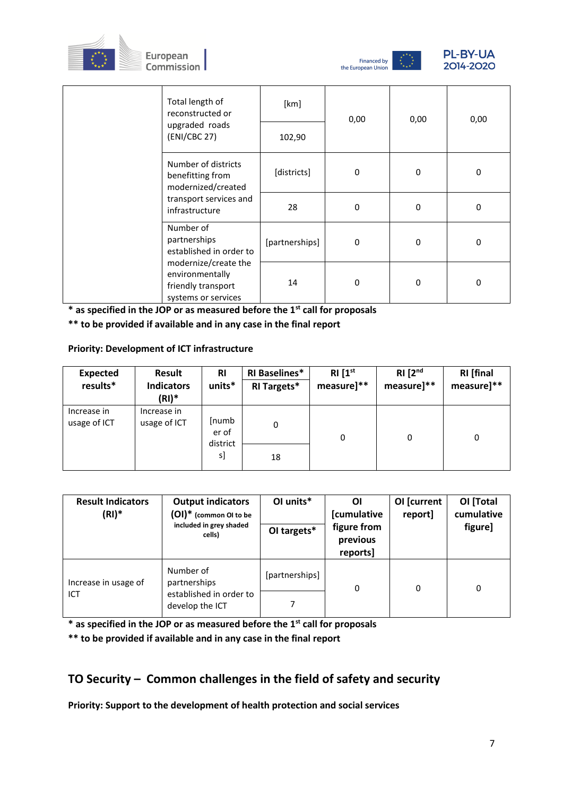





|  | Total length of<br>reconstructed or                                                                                                          | [km]           | 0,00 | 0,00 | 0,00 |
|--|----------------------------------------------------------------------------------------------------------------------------------------------|----------------|------|------|------|
|  | upgraded roads<br>(ENI/CBC 27)                                                                                                               | 102,90         |      |      |      |
|  | Number of districts<br>benefitting from<br>modernized/created                                                                                | [districts]    | 0    | 0    | 0    |
|  | transport services and<br>infrastructure                                                                                                     | 28             | 0    | 0    | 0    |
|  | Number of<br>partnerships<br>established in order to<br>modernize/create the<br>environmentally<br>friendly transport<br>systems or services | [partnerships] | 0    | 0    | 0    |
|  |                                                                                                                                              | 14             | 0    | 0    | 0    |

**\*\* to be provided if available and in any case in the final report**

## **Priority: Development of ICT infrastructure**

| <b>Expected</b><br>results* | Result<br><b>Indicators</b><br>$(RI)^*$ | <b>RI</b><br>units*        | <b>RI Baselines*</b><br><b>RI Targets*</b> | RI[1 <sup>st</sup> ]<br>measure]** | RI [2 <sup>nd</sup> ]<br>measure]** | <b>RI</b> [final<br>measure]** |
|-----------------------------|-----------------------------------------|----------------------------|--------------------------------------------|------------------------------------|-------------------------------------|--------------------------------|
| Increase in<br>usage of ICT | Increase in<br>usage of ICT             | [numb<br>er of<br>district | 0                                          | 0                                  | 0                                   | 0                              |
|                             |                                         | s]                         | 18                                         |                                    |                                     |                                |

| <b>Result Indicators</b><br>$(RI)^*$ | <b>Output indicators</b><br>(OI)* (common OI to be<br>included in grey shaded<br>cells) | OI units*<br>OI targets* | ΟI<br>[cumulative<br>figure from<br>previous<br>reports] | OI [current<br>report] | OI [Total<br>cumulative<br>figure] |
|--------------------------------------|-----------------------------------------------------------------------------------------|--------------------------|----------------------------------------------------------|------------------------|------------------------------------|
| Increase in usage of<br>ICT          | Number of<br>partnerships<br>established in order to<br>develop the ICT                 | [partnerships]           | 0                                                        | 0                      | 0                                  |

**\* as specified in the JOP or as measured before the 1st call for proposals**

**\*\* to be provided if available and in any case in the final report**

## **TO Security – Common challenges in the field of safety and security**

**Priority: Support to the development of health protection and social services**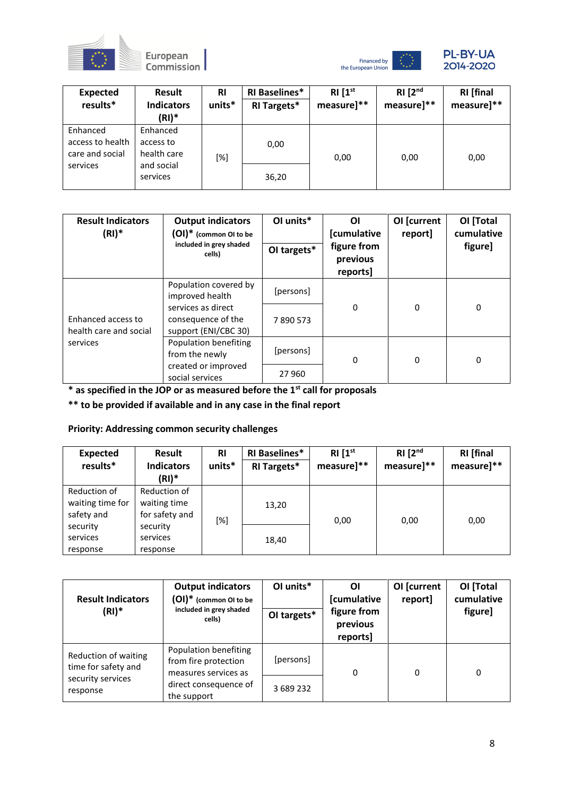





| <b>Expected</b><br>results*                     | Result<br><b>Indicators</b><br>$(RI)^*$ | <b>RI</b><br>units* | <b>RI Baselines*</b><br><b>RI Targets*</b> | RI[1 <sup>st</sup> ]<br>measure]** | RI [2 <sup>nd</sup> ]<br>measure]** | <b>RI</b> [final<br>measure]** |
|-------------------------------------------------|-----------------------------------------|---------------------|--------------------------------------------|------------------------------------|-------------------------------------|--------------------------------|
| Enhanced<br>access to health<br>care and social | Enhanced<br>access to<br>health care    | [%]                 | 0,00                                       | 0,00                               | 0,00                                | 0,00                           |
| services                                        | and social<br>services                  |                     | 36,20                                      |                                    |                                     |                                |

| <b>Result Indicators</b><br>$(RI)^*$         | <b>Output indicators</b><br>$(OI)^*$ (common OI to be<br>included in grey shaded<br>cells)                   | OI units*<br>OI targets* | ΟI<br>[cumulative<br>figure from<br>previous<br>reports] | OI [current<br>report] | OI [Total<br>cumulative<br>figure] |
|----------------------------------------------|--------------------------------------------------------------------------------------------------------------|--------------------------|----------------------------------------------------------|------------------------|------------------------------------|
| Enhanced access to<br>health care and social | Population covered by<br>improved health<br>services as direct<br>consequence of the<br>support (ENI/CBC 30) | [persons]<br>7890573     | 0                                                        | 0                      | 0                                  |
| services                                     | Population benefiting<br>from the newly<br>created or improved<br>social services                            | [persons]<br>27 960      | 0                                                        | 0                      | $\Omega$                           |

**\*\* to be provided if available and in any case in the final report**

## **Priority: Addressing common security challenges**

| <b>Expected</b><br>results*                    | <b>Result</b><br><b>Indicators</b><br>(RI)*    | <b>RI</b><br>units* | <b>RI Baselines*</b><br><b>RI Targets*</b> | RI[1 <sup>st</sup> ]<br>measure]** | RI [2 <sup>nd</sup> ]<br>measure]** | <b>RI</b> [final<br>measure]** |
|------------------------------------------------|------------------------------------------------|---------------------|--------------------------------------------|------------------------------------|-------------------------------------|--------------------------------|
| Reduction of<br>waiting time for<br>safety and | Reduction of<br>waiting time<br>for safety and | [%]                 | 13,20                                      | 0,00                               | 0,00                                | 0,00                           |
| security<br>services<br>response               | security<br>services<br>response               |                     | 18,40                                      |                                    |                                     |                                |

| <b>Result Indicators</b><br>$(RI)^*$        | <b>Output indicators</b><br>(OI)* (common OI to be<br>included in grey shaded<br>cells) | OI units*<br>OI targets* | ΟI<br>[cumulative<br>figure from<br>previous<br>reports] | OI [current<br>report] | OI [Total<br>cumulative<br>figure] |  |
|---------------------------------------------|-----------------------------------------------------------------------------------------|--------------------------|----------------------------------------------------------|------------------------|------------------------------------|--|
| Reduction of waiting<br>time for safety and | Population benefiting<br>from fire protection<br>measures services as                   | [persons]                | 0                                                        | 0                      | 0                                  |  |
| security services<br>response               | direct consequence of<br>the support                                                    | 3 689 232                |                                                          |                        |                                    |  |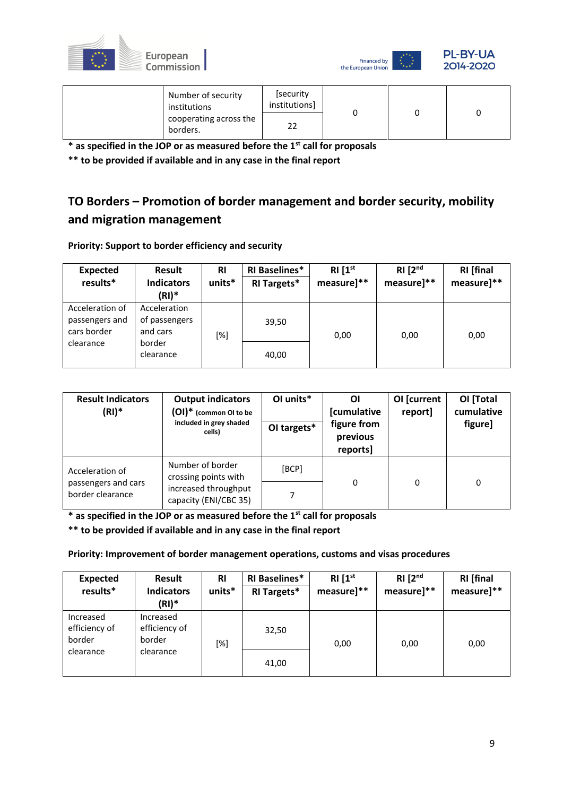



| Number of security<br>institutions | [security<br>institutions] |  |  |
|------------------------------------|----------------------------|--|--|
| cooperating across the<br>borders. | າາ<br>∠∠                   |  |  |

**\*\* to be provided if available and in any case in the final report**

## **TO Borders – Promotion of border management and border security, mobility and migration management**

**Priority: Support to border efficiency and security**

| <b>Expected</b><br>results*                      | Result<br><b>Indicators</b>               | <b>RI</b><br>units* | <b>RI Baselines*</b><br><b>RI Targets*</b> | RI [1 <sup>st</sup> ]<br>measure]** | RI [2 <sup>nd</sup> ]<br>measure]** | <b>RI</b> [final<br>measure]** |
|--------------------------------------------------|-------------------------------------------|---------------------|--------------------------------------------|-------------------------------------|-------------------------------------|--------------------------------|
|                                                  | $(RI)^*$                                  |                     |                                            |                                     |                                     |                                |
| Acceleration of<br>passengers and<br>cars border | Acceleration<br>of passengers<br>and cars | [%]                 | 39,50                                      | 0,00                                | 0,00                                | 0,00                           |
| clearance                                        | border                                    |                     |                                            |                                     |                                     |                                |
|                                                  | clearance                                 |                     | 40,00                                      |                                     |                                     |                                |

| <b>Result Indicators</b><br>$(RI)^*$    | <b>Output indicators</b><br>(OI)* (common OI to be<br>included in grey shaded<br>cells) | OI units*<br>OI targets* | ΟI<br><b>[cumulative</b><br>figure from<br>previous<br>reports] | OI [current<br>report] | OI [Total<br>cumulative<br>figure] |
|-----------------------------------------|-----------------------------------------------------------------------------------------|--------------------------|-----------------------------------------------------------------|------------------------|------------------------------------|
| Acceleration of                         | Number of border<br>crossing points with                                                | [BCP]                    |                                                                 |                        |                                    |
| passengers and cars<br>border clearance | increased throughput<br>capacity (ENI/CBC 35)                                           | 7                        | 0                                                               | 0                      | 0                                  |

**\* as specified in the JOP or as measured before the 1st call for proposals**

**\*\* to be provided if available and in any case in the final report**

**Priority: Improvement of border management operations, customs and visas procedures**

| <b>Expected</b><br>results*          | Result<br><b>Indicators</b><br>(RI)*        | <b>RI</b><br>units* | <b>RI Baselines*</b><br><b>RI Targets*</b> | RI[1 <sup>st</sup> ]<br>measure]** | RI [2 <sup>nd</sup> ]<br>measure]** | <b>RI</b> [final<br>measure]** |
|--------------------------------------|---------------------------------------------|---------------------|--------------------------------------------|------------------------------------|-------------------------------------|--------------------------------|
| Increased<br>efficiency of<br>border | Increased<br>efficiency of<br>border<br>[%] |                     | 32,50                                      | 0,00                               | 0,00                                | 0,00                           |
| clearance                            | clearance                                   |                     | 41,00                                      |                                    |                                     |                                |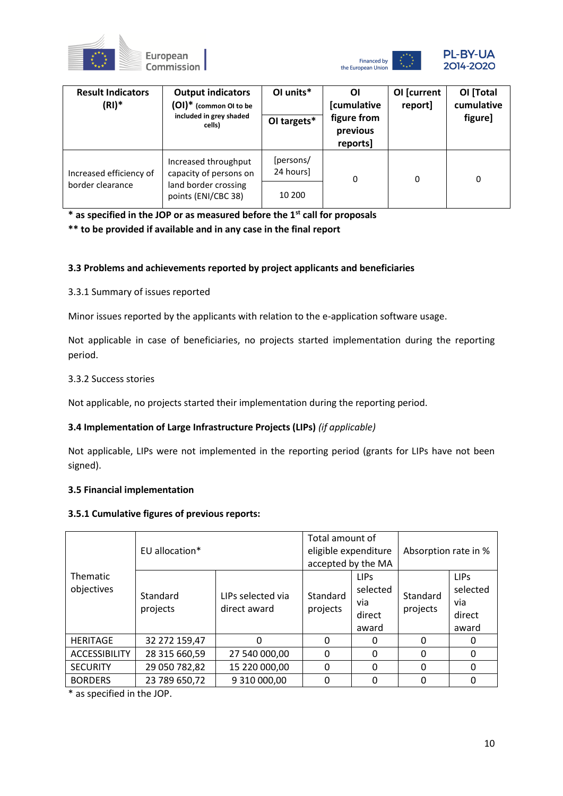





| <b>Result Indicators</b><br>$(RI)^*$        | <b>Output indicators</b><br>$(OI)^*$ (common OI to be<br>included in grey shaded<br>cells)    | OI units*<br>OI targets*         | Οl<br>[cumulative<br>figure from<br>previous<br>reports] | OI [current<br>report] | OI [Total<br>cumulative<br>figure] |
|---------------------------------------------|-----------------------------------------------------------------------------------------------|----------------------------------|----------------------------------------------------------|------------------------|------------------------------------|
| Increased efficiency of<br>border clearance | Increased throughput<br>capacity of persons on<br>land border crossing<br>points (ENI/CBC 38) | [persons/<br>24 hours]<br>10 200 | 0                                                        | 0                      | 0                                  |

**\*\* to be provided if available and in any case in the final report**

## **3.3 Problems and achievements reported by project applicants and beneficiaries**

3.3.1 Summary of issues reported

Minor issues reported by the applicants with relation to the e-application software usage.

Not applicable in case of beneficiaries, no projects started implementation during the reporting period.

## 3.3.2 Success stories

Not applicable, no projects started their implementation during the reporting period.

## **3.4 Implementation of Large Infrastructure Projects (LIPs)** *(if applicable)*

Not applicable, LIPs were not implemented in the reporting period (grants for LIPs have not been signed).

### **3.5 Financial implementation**

### **3.5.1 Cumulative figures of previous reports:**

|                        | EU allocation*       |                                   | Total amount of<br>eligible expenditure<br>accepted by the MA |                                                   | Absorption rate in % |                                                    |
|------------------------|----------------------|-----------------------------------|---------------------------------------------------------------|---------------------------------------------------|----------------------|----------------------------------------------------|
| Thematic<br>objectives | Standard<br>projects | LIPs selected via<br>direct award | Standard<br>projects                                          | <b>LIPS</b><br>selected<br>via<br>direct<br>award | Standard<br>projects | <b>LIPS</b><br>selected<br>via.<br>direct<br>award |
| <b>HERITAGE</b>        | 32 272 159,47        | O                                 | 0                                                             | 0                                                 | $\Omega$             | 0                                                  |
| <b>ACCESSIBILITY</b>   | 28 315 660,59        | 27 540 000,00                     | 0                                                             | $\Omega$                                          | $\Omega$             | $\Omega$                                           |
| <b>SECURITY</b>        | 29 050 782,82        | 15 220 000,00                     | 0                                                             | $\Omega$                                          | $\Omega$             | 0                                                  |
| <b>BORDERS</b>         | 23 789 650,72        | 9 310 000,00                      |                                                               | $\Omega$                                          | $\Omega$             | 0                                                  |

\* as specified in the JOP.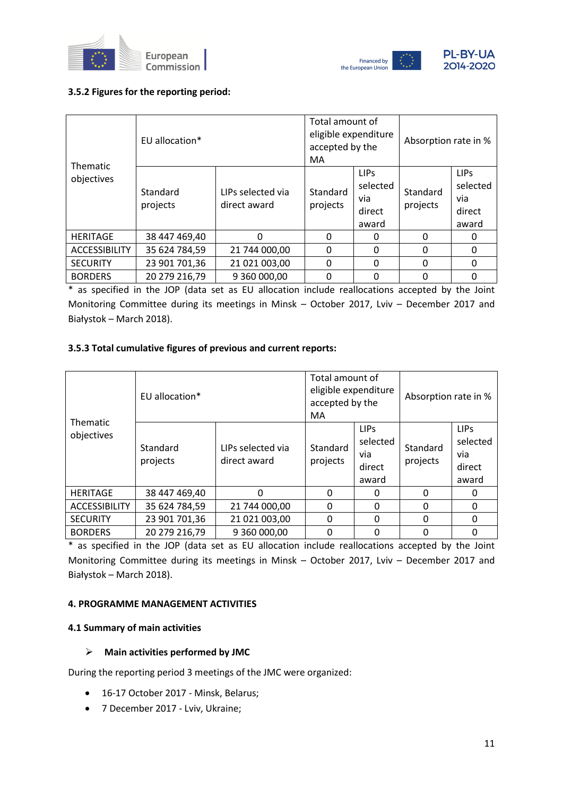



## **3.5.2 Figures for the reporting period:**

| <b>Thematic</b>      | EU allocation*       |                                   | Total amount of<br>eligible expenditure<br>accepted by the<br>MA. |                                                    | Absorption rate in % |                                                    |  |
|----------------------|----------------------|-----------------------------------|-------------------------------------------------------------------|----------------------------------------------------|----------------------|----------------------------------------------------|--|
| objectives           | Standard<br>projects | LIPs selected via<br>direct award | Standard<br>projects                                              | <b>LIPS</b><br>selected<br>via.<br>direct<br>award | Standard<br>projects | <b>LIPS</b><br>selected<br>via.<br>direct<br>award |  |
| <b>HERITAGE</b>      | 38 447 469,40        | 0                                 | $\Omega$                                                          | 0                                                  | $\Omega$             | 0                                                  |  |
| <b>ACCESSIBILITY</b> | 35 624 784,59        | 21 744 000,00                     | 0                                                                 | $\Omega$                                           | $\Omega$             | 0                                                  |  |
| <b>SECURITY</b>      | 23 901 701,36        | 21 021 003,00                     | 0                                                                 | $\Omega$                                           | $\Omega$             | $\Omega$                                           |  |
| <b>BORDERS</b>       | 20 279 216,79        | 9 360 000,00                      | 0                                                                 | 0                                                  | 0                    | 0                                                  |  |

\* as specified in the JOP (data set as EU allocation include reallocations accepted by the Joint Monitoring Committee during its meetings in Minsk – October 2017, Lviv – December 2017 and Białystok – March 2018).

## **3.5.3 Total cumulative figures of previous and current reports:**

| <b>Thematic</b>      | EU allocation*       | Total amount of<br>eligible expenditure<br>accepted by the<br>MA |                      | Absorption rate in %                                   |                      |                                                    |
|----------------------|----------------------|------------------------------------------------------------------|----------------------|--------------------------------------------------------|----------------------|----------------------------------------------------|
| objectives           | Standard<br>projects | LIPs selected via<br>direct award                                | Standard<br>projects | LIP <sub>S</sub><br>selected<br>via<br>direct<br>award | Standard<br>projects | <b>LIPS</b><br>selected<br>via.<br>direct<br>award |
| <b>HERITAGE</b>      | 38 447 469,40        | 0                                                                | 0                    | <sup>0</sup>                                           | $\Omega$             | 0                                                  |
| <b>ACCESSIBILITY</b> | 35 624 784,59        | 21 744 000,00                                                    | 0                    | $\Omega$                                               | $\Omega$             | $\Omega$                                           |
| <b>SECURITY</b>      | 23 901 701,36        | 21 021 003,00                                                    | 0                    | $\Omega$                                               | 0                    | $\Omega$                                           |
| <b>BORDERS</b>       | 20 279 216,79        | 9 360 000,00                                                     | 0                    | 0                                                      | 0                    | 0                                                  |

\* as specified in the JOP (data set as EU allocation include reallocations accepted by the Joint Monitoring Committee during its meetings in Minsk – October 2017, Lviv – December 2017 and Białystok – March 2018).

### **4. PROGRAMME MANAGEMENT ACTIVITIES**

### **4.1 Summary of main activities**

### ➢ **Main activities performed by JMC**

During the reporting period 3 meetings of the JMC were organized:

- 16-17 October 2017 Minsk, Belarus;
- 7 December 2017 Lviv, Ukraine;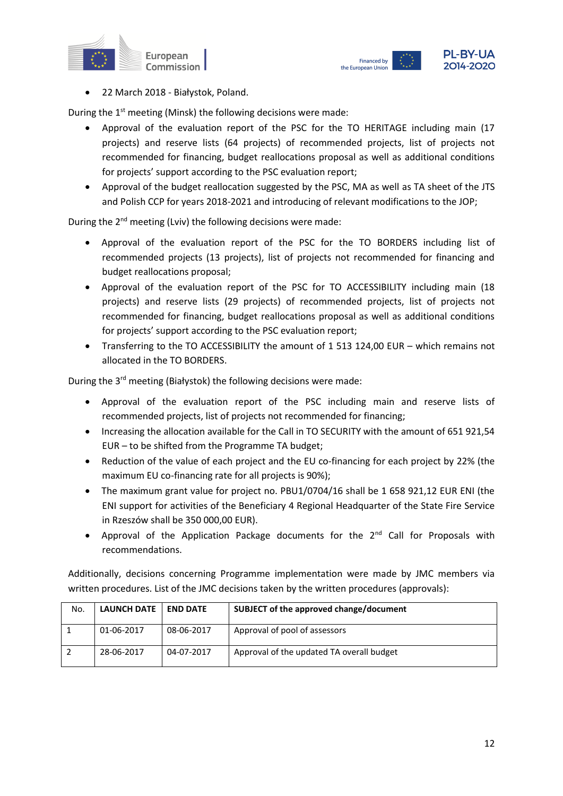



• 22 March 2018 - Białystok, Poland.

During the 1<sup>st</sup> meeting (Minsk) the following decisions were made:

- Approval of the evaluation report of the PSC for the TO HERITAGE including main (17 projects) and reserve lists (64 projects) of recommended projects, list of projects not recommended for financing, budget reallocations proposal as well as additional conditions for projects' support according to the PSC evaluation report;
- Approval of the budget reallocation suggested by the PSC, MA as well as TA sheet of the JTS and Polish CCP for years 2018-2021 and introducing of relevant modifications to the JOP;

During the 2<sup>nd</sup> meeting (Lviv) the following decisions were made:

- Approval of the evaluation report of the PSC for the TO BORDERS including list of recommended projects (13 projects), list of projects not recommended for financing and budget reallocations proposal;
- Approval of the evaluation report of the PSC for TO ACCESSIBILITY including main (18 projects) and reserve lists (29 projects) of recommended projects, list of projects not recommended for financing, budget reallocations proposal as well as additional conditions for projects' support according to the PSC evaluation report;
- Transferring to the TO ACCESSIBILITY the amount of 1 513 124,00 EUR which remains not allocated in the TO BORDERS.

During the 3<sup>rd</sup> meeting (Białystok) the following decisions were made:

- Approval of the evaluation report of the PSC including main and reserve lists of recommended projects, list of projects not recommended for financing;
- Increasing the allocation available for the Call in TO SECURITY with the amount of 651 921,54 EUR – to be shifted from the Programme TA budget;
- Reduction of the value of each project and the EU co-financing for each project by 22% (the maximum EU co-financing rate for all projects is 90%);
- The maximum grant value for project no. PBU1/0704/16 shall be 1 658 921,12 EUR ENI (the ENI support for activities of the Beneficiary 4 Regional Headquarter of the State Fire Service in Rzeszów shall be 350 000,00 EUR).
- Approval of the Application Package documents for the 2<sup>nd</sup> Call for Proposals with recommendations.

Additionally, decisions concerning Programme implementation were made by JMC members via written procedures. List of the JMC decisions taken by the written procedures (approvals):

| No. | LAUNCH DATE   END DATE |            | SUBJECT of the approved change/document   |
|-----|------------------------|------------|-------------------------------------------|
|     | 01-06-2017             | 08-06-2017 | Approval of pool of assessors             |
|     | 28-06-2017             | 04-07-2017 | Approval of the updated TA overall budget |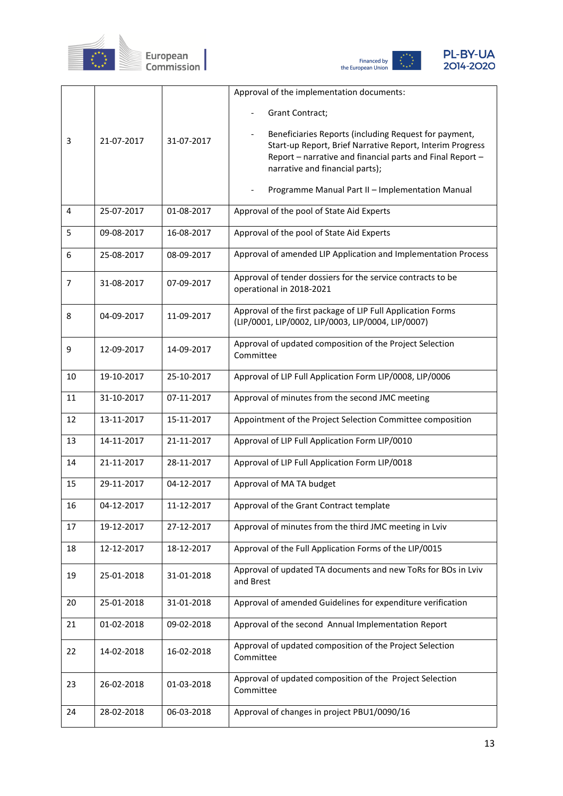





|    |            |            | Approval of the implementation documents:                                  |
|----|------------|------------|----------------------------------------------------------------------------|
|    |            |            | Grant Contract;                                                            |
|    |            |            | Beneficiaries Reports (including Request for payment,                      |
| 3  | 21-07-2017 | 31-07-2017 | Start-up Report, Brief Narrative Report, Interim Progress                  |
|    |            |            | Report - narrative and financial parts and Final Report -                  |
|    |            |            | narrative and financial parts);                                            |
|    |            |            | Programme Manual Part II - Implementation Manual                           |
| 4  | 25-07-2017 | 01-08-2017 | Approval of the pool of State Aid Experts                                  |
|    |            |            |                                                                            |
| 5  | 09-08-2017 | 16-08-2017 | Approval of the pool of State Aid Experts                                  |
| 6  | 25-08-2017 | 08-09-2017 | Approval of amended LIP Application and Implementation Process             |
| 7  | 31-08-2017 | 07-09-2017 | Approval of tender dossiers for the service contracts to be                |
|    |            |            | operational in 2018-2021                                                   |
| 8  | 04-09-2017 | 11-09-2017 | Approval of the first package of LIP Full Application Forms                |
|    |            |            | (LIP/0001, LIP/0002, LIP/0003, LIP/0004, LIP/0007)                         |
| 9  | 12-09-2017 | 14-09-2017 | Approval of updated composition of the Project Selection                   |
|    |            |            | Committee                                                                  |
| 10 | 19-10-2017 | 25-10-2017 | Approval of LIP Full Application Form LIP/0008, LIP/0006                   |
| 11 | 31-10-2017 | 07-11-2017 | Approval of minutes from the second JMC meeting                            |
| 12 | 13-11-2017 | 15-11-2017 | Appointment of the Project Selection Committee composition                 |
| 13 | 14-11-2017 | 21-11-2017 | Approval of LIP Full Application Form LIP/0010                             |
| 14 | 21-11-2017 | 28-11-2017 | Approval of LIP Full Application Form LIP/0018                             |
| 15 | 29-11-2017 | 04-12-2017 | Approval of MA TA budget                                                   |
| 16 | 04-12-2017 | 11-12-2017 | Approval of the Grant Contract template                                    |
| 17 | 19-12-2017 | 27-12-2017 | Approval of minutes from the third JMC meeting in Lviv                     |
| 18 | 12-12-2017 | 18-12-2017 | Approval of the Full Application Forms of the LIP/0015                     |
| 19 | 25-01-2018 | 31-01-2018 | Approval of updated TA documents and new ToRs for BOs in Lviv<br>and Brest |
|    | 25-01-2018 |            | Approval of amended Guidelines for expenditure verification                |
| 20 |            | 31-01-2018 |                                                                            |
| 21 | 01-02-2018 | 09-02-2018 | Approval of the second Annual Implementation Report                        |
| 22 | 14-02-2018 | 16-02-2018 | Approval of updated composition of the Project Selection<br>Committee      |
| 23 | 26-02-2018 | 01-03-2018 | Approval of updated composition of the Project Selection<br>Committee      |
| 24 | 28-02-2018 | 06-03-2018 | Approval of changes in project PBU1/0090/16                                |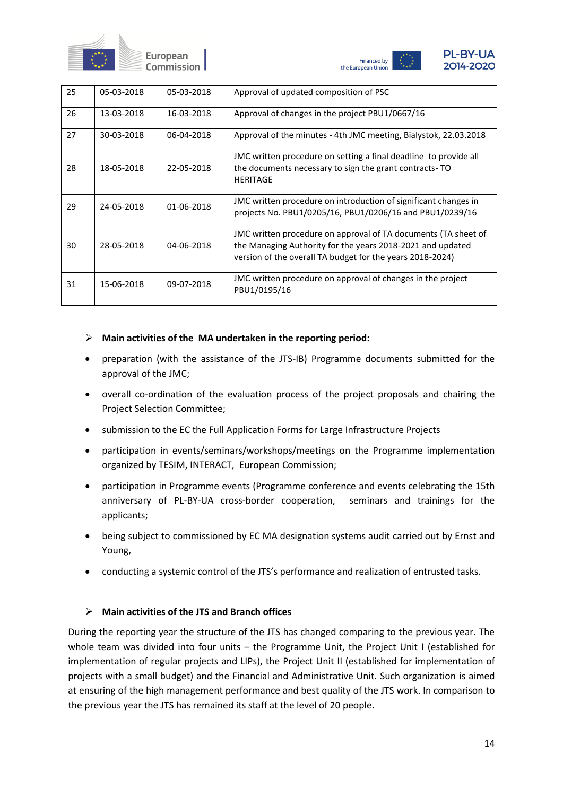



| 25 | 05-03-2018 | 05-03-2018 | Approval of updated composition of PSC                                                                                                                                                    |
|----|------------|------------|-------------------------------------------------------------------------------------------------------------------------------------------------------------------------------------------|
| 26 | 13-03-2018 | 16-03-2018 | Approval of changes in the project PBU1/0667/16                                                                                                                                           |
| 27 | 30-03-2018 | 06-04-2018 | Approval of the minutes - 4th JMC meeting, Bialystok, 22.03.2018                                                                                                                          |
| 28 | 18-05-2018 | 22-05-2018 | JMC written procedure on setting a final deadline to provide all<br>the documents necessary to sign the grant contracts-TO<br><b>HERITAGE</b>                                             |
| 29 | 24-05-2018 | 01-06-2018 | JMC written procedure on introduction of significant changes in<br>projects No. PBU1/0205/16, PBU1/0206/16 and PBU1/0239/16                                                               |
| 30 | 28-05-2018 | 04-06-2018 | JMC written procedure on approval of TA documents (TA sheet of<br>the Managing Authority for the years 2018-2021 and updated<br>version of the overall TA budget for the years 2018-2024) |
| 31 | 15-06-2018 | 09-07-2018 | JMC written procedure on approval of changes in the project<br>PBU1/0195/16                                                                                                               |

### ➢ **Main activities of the MA undertaken in the reporting period:**

- preparation (with the assistance of the JTS-IB) Programme documents submitted for the approval of the JMC;
- overall co-ordination of the evaluation process of the project proposals and chairing the Project Selection Committee;
- submission to the EC the Full Application Forms for Large Infrastructure Projects
- participation in events/seminars/workshops/meetings on the Programme implementation organized by TESIM, INTERACT, European Commission;
- participation in Programme events (Programme conference and events celebrating the 15th anniversary of PL-BY-UA cross-border cooperation, seminars and trainings for the applicants;
- being subject to commissioned by EC MA designation systems audit carried out by Ernst and Young,
- conducting a systemic control of the JTS's performance and realization of entrusted tasks.

## ➢ **Main activities of the JTS and Branch offices**

During the reporting year the structure of the JTS has changed comparing to the previous year. The whole team was divided into four units – the Programme Unit, the Project Unit I (established for implementation of regular projects and LIPs), the Project Unit II (established for implementation of projects with a small budget) and the Financial and Administrative Unit. Such organization is aimed at ensuring of the high management performance and best quality of the JTS work. In comparison to the previous year the JTS has remained its staff at the level of 20 people.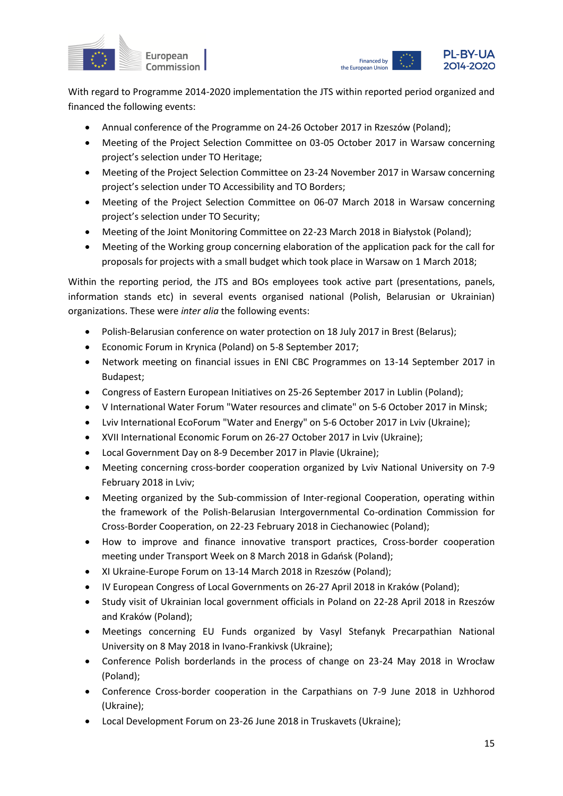



With regard to Programme 2014-2020 implementation the JTS within reported period organized and financed the following events:

- Annual conference of the Programme on 24-26 October 2017 in Rzeszów (Poland);
- Meeting of the Project Selection Committee on 03-05 October 2017 in Warsaw concerning project's selection under TO Heritage;
- Meeting of the Project Selection Committee on 23-24 November 2017 in Warsaw concerning project's selection under TO Accessibility and TO Borders;
- Meeting of the Project Selection Committee on 06-07 March 2018 in Warsaw concerning project's selection under TO Security;
- Meeting of the Joint Monitoring Committee on 22-23 March 2018 in Białystok (Poland);
- Meeting of the Working group concerning elaboration of the application pack for the call for proposals for projects with a small budget which took place in Warsaw on 1 March 2018;

Within the reporting period, the JTS and BOs employees took active part (presentations, panels, information stands etc) in several events organised national (Polish, Belarusian or Ukrainian) organizations. These were *inter alia* the following events:

- Polish-Belarusian conference on water protection on 18 July 2017 in Brest (Belarus);
- Economic Forum in Krynica (Poland) on 5-8 September 2017;
- Network meeting on financial issues in ENI CBC Programmes on 13-14 September 2017 in Budapest;
- Congress of Eastern European Initiatives on 25-26 September 2017 in Lublin (Poland);
- V International Water Forum "Water resources and climate" on 5-6 October 2017 in Minsk;
- Lviv International EcoForum "Water and Energy" on 5-6 October 2017 in Lviv (Ukraine);
- XVII International Economic Forum on 26-27 October 2017 in Lviv (Ukraine);
- Local Government Day on 8-9 December 2017 in Plavie (Ukraine);
- Meeting concerning cross-border cooperation organized by Lviv National University on 7-9 February 2018 in Lviv;
- Meeting organized by the Sub-commission of Inter-regional Cooperation, operating within the framework of the Polish-Belarusian Intergovernmental Co-ordination Commission for Cross-Border Cooperation, on 22-23 February 2018 in Ciechanowiec (Poland);
- How to improve and finance innovative transport practices, Cross-border cooperation meeting under Transport Week on 8 March 2018 in Gdańsk (Poland);
- XI Ukraine-Europe Forum on 13-14 March 2018 in Rzeszów (Poland);
- IV European Congress of Local Governments on 26-27 April 2018 in Kraków (Poland);
- Study visit of Ukrainian local government officials in Poland on 22-28 April 2018 in Rzeszów and Kraków (Poland);
- Meetings concerning EU Funds organized by Vasyl Stefanyk Precarpathian National University on 8 May 2018 in Ivano-Frankivsk (Ukraine);
- Conference Polish borderlands in the process of change on 23-24 May 2018 in Wrocław (Poland);
- Conference Cross-border cooperation in the Carpathians on 7-9 June 2018 in Uzhhorod (Ukraine);
- Local Development Forum on 23-26 June 2018 in Truskavets (Ukraine);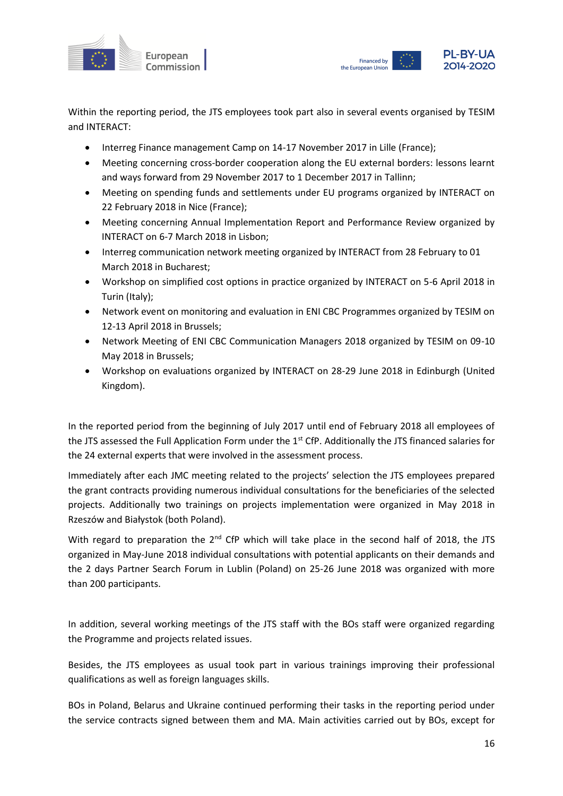



Within the reporting period, the JTS employees took part also in several events organised by TESIM and INTERACT:

- Interreg Finance management Camp on 14-17 November 2017 in Lille (France);
- Meeting concerning cross-border cooperation along the EU external borders: lessons learnt and ways forward from 29 November 2017 to 1 December 2017 in Tallinn;
- Meeting on spending funds and settlements under EU programs organized by INTERACT on 22 February 2018 in Nice (France);
- Meeting concerning Annual Implementation Report and Performance Review organized by INTERACT on 6-7 March 2018 in Lisbon;
- Interreg communication network meeting organized by INTERACT from 28 February to 01 March 2018 in Bucharest;
- Workshop on simplified cost options in practice organized by INTERACT on 5-6 April 2018 in Turin (Italy);
- Network event on monitoring and evaluation in ENI CBC Programmes organized by TESIM on 12-13 April 2018 in Brussels;
- Network Meeting of ENI CBC Communication Managers 2018 organized by TESIM on 09-10 May 2018 in Brussels;
- Workshop on evaluations organized by INTERACT on 28-29 June 2018 in Edinburgh (United Kingdom).

In the reported period from the beginning of July 2017 until end of February 2018 all employees of the JTS assessed the Full Application Form under the 1<sup>st</sup> CfP. Additionally the JTS financed salaries for the 24 external experts that were involved in the assessment process.

Immediately after each JMC meeting related to the projects' selection the JTS employees prepared the grant contracts providing numerous individual consultations for the beneficiaries of the selected projects. Additionally two trainings on projects implementation were organized in May 2018 in Rzeszów and Białystok (both Poland).

With regard to preparation the 2<sup>nd</sup> CfP which will take place in the second half of 2018, the JTS organized in May-June 2018 individual consultations with potential applicants on their demands and the 2 days Partner Search Forum in Lublin (Poland) on 25-26 June 2018 was organized with more than 200 participants.

In addition, several working meetings of the JTS staff with the BOs staff were organized regarding the Programme and projects related issues.

Besides, the JTS employees as usual took part in various trainings improving their professional qualifications as well as foreign languages skills.

BOs in Poland, Belarus and Ukraine continued performing their tasks in the reporting period under the service contracts signed between them and MA. Main activities carried out by BOs, except for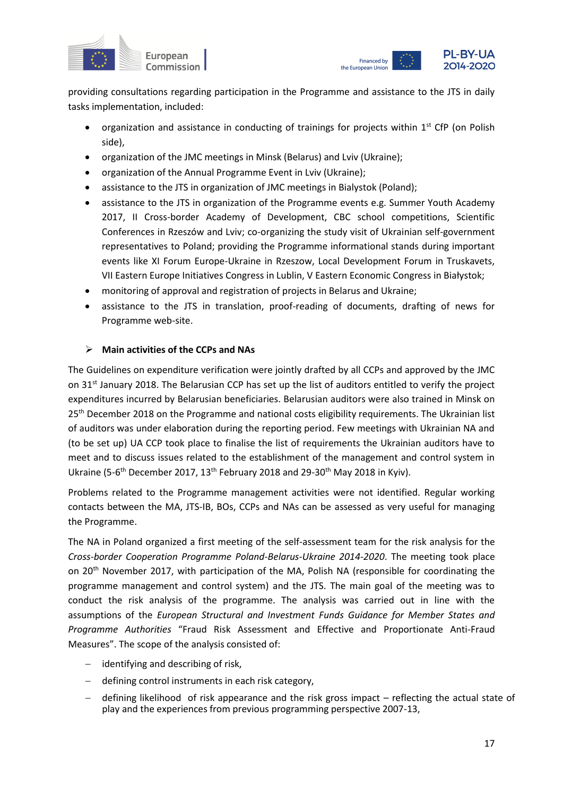



providing consultations regarding participation in the Programme and assistance to the JTS in daily tasks implementation, included:

- organization and assistance in conducting of trainings for projects within  $1^{st}$  CfP (on Polish side),
- organization of the JMC meetings in Minsk (Belarus) and Lviv (Ukraine);
- organization of the Annual Programme Event in Lviv (Ukraine);
- assistance to the JTS in organization of JMC meetings in Bialystok (Poland);
- assistance to the JTS in organization of the Programme events e.g. Summer Youth Academy 2017, II Cross-border Academy of Development, CBC school competitions, Scientific Conferences in Rzeszów and Lviv; co-organizing the study visit of Ukrainian self-government representatives to Poland; providing the Programme informational stands during important events like XI Forum Europe-Ukraine in Rzeszow, Local Development Forum in Truskavets, VII Eastern Europe Initiatives Congress in Lublin, V Eastern Economic Congress in Białystok;
- monitoring of approval and registration of projects in Belarus and Ukraine;
- assistance to the JTS in translation, proof-reading of documents, drafting of news for Programme web-site.

## ➢ **Main activities of the CCPs and NAs**

The Guidelines on expenditure verification were jointly drafted by all CCPs and approved by the JMC on 31<sup>st</sup> January 2018. The Belarusian CCP has set up the list of auditors entitled to verify the project expenditures incurred by Belarusian beneficiaries. Belarusian auditors were also trained in Minsk on 25<sup>th</sup> December 2018 on the Programme and national costs eligibility requirements. The Ukrainian list of auditors was under elaboration during the reporting period. Few meetings with Ukrainian NA and (to be set up) UA CCP took place to finalise the list of requirements the Ukrainian auditors have to meet and to discuss issues related to the establishment of the management and control system in Ukraine (5-6<sup>th</sup> December 2017, 13<sup>th</sup> February 2018 and 29-30<sup>th</sup> May 2018 in Kyiv).

Problems related to the Programme management activities were not identified. Regular working contacts between the MA, JTS-IB, BOs, CCPs and NAs can be assessed as very useful for managing the Programme.

The NA in Poland organized a first meeting of the self-assessment team for the risk analysis for the *Cross-border Cooperation Programme Poland-Belarus-Ukraine 2014-2020*. The meeting took place on 20<sup>th</sup> November 2017, with participation of the MA, Polish NA (responsible for coordinating the programme management and control system) and the JTS. The main goal of the meeting was to conduct the risk analysis of the programme. The analysis was carried out in line with the assumptions of the *European Structural and Investment Funds Guidance for Member States and Programme Authorities* "Fraud Risk Assessment and Effective and Proportionate Anti-Fraud Measures". The scope of the analysis consisted of:

- − identifying and describing of risk,
- − defining control instruments in each risk category,
- defining likelihood of risk appearance and the risk gross impact reflecting the actual state of play and the experiences from previous programming perspective 2007-13,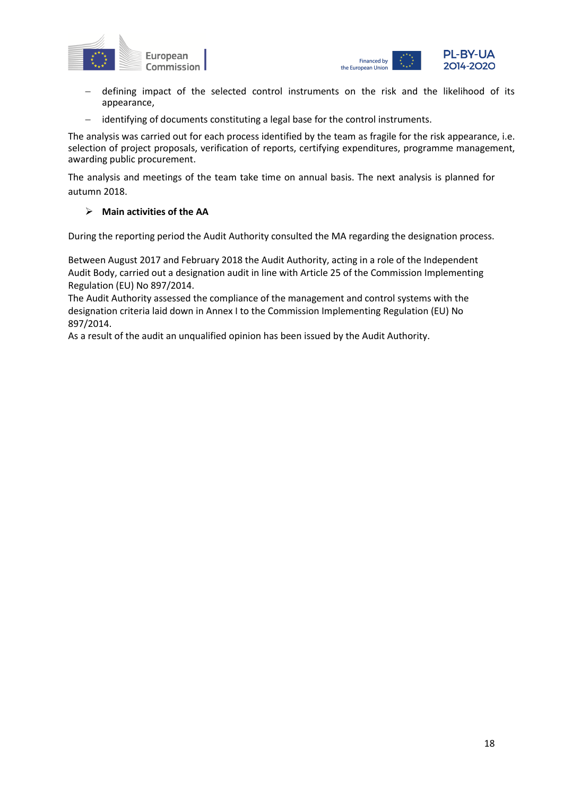



- defining impact of the selected control instruments on the risk and the likelihood of its appearance,
- − identifying of documents constituting a legal base for the control instruments.

The analysis was carried out for each process identified by the team as fragile for the risk appearance, i.e. selection of project proposals, verification of reports, certifying expenditures, programme management, awarding public procurement.

The analysis and meetings of the team take time on annual basis. The next analysis is planned for autumn 2018.

### ➢ **Main activities of the AA**

During the reporting period the Audit Authority consulted the MA regarding the designation process.

Between August 2017 and February 2018 the Audit Authority, acting in a role of the Independent Audit Body, carried out a designation audit in line with Article 25 of the Commission Implementing Regulation (EU) No 897/2014.

The Audit Authority assessed the compliance of the management and control systems with the designation criteria laid down in Annex I to the Commission Implementing Regulation (EU) No 897/2014.

As a result of the audit an unqualified opinion has been issued by the Audit Authority.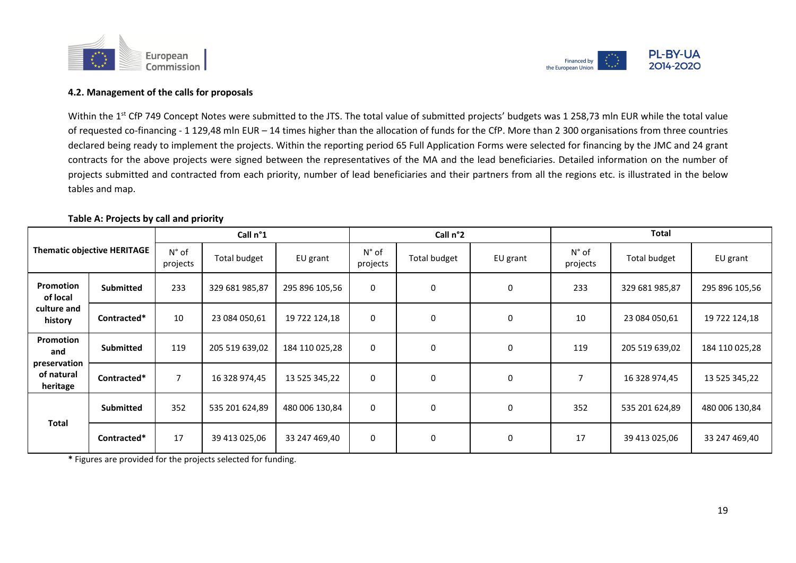



### **4.2. Management of the calls for proposals**

Within the 1<sup>st</sup> CfP 749 Concept Notes were submitted to the JTS. The total value of submitted projects' budgets was 1 258,73 mln EUR while the total value of requested co-financing - 1 129,48 mln EUR – 14 times higher than the allocation of funds for the CfP. More than 2 300 organisations from three countries declared being ready to implement the projects. Within the reporting period 65 Full Application Forms were selected for financing by the JMC and 24 grant contracts for the above projects were signed between the representatives of the MA and the lead beneficiaries. Detailed information on the number of projects submitted and contracted from each priority, number of lead beneficiaries and their partners from all the regions etc. is illustrated in the below tables and map.

#### **Table A: Projects by call and priority**

|                                        |                                    |                            | Call n°1            |                |                            | Call n°2     |             |                            | <b>Total</b>   |                |
|----------------------------------------|------------------------------------|----------------------------|---------------------|----------------|----------------------------|--------------|-------------|----------------------------|----------------|----------------|
|                                        | <b>Thematic objective HERITAGE</b> | $N^{\circ}$ of<br>projects | <b>Total budget</b> | EU grant       | $N^{\circ}$ of<br>projects | Total budget | EU grant    | $N^{\circ}$ of<br>projects | Total budget   | EU grant       |
| <b>Promotion</b><br>of local           | <b>Submitted</b>                   | 233                        | 329 681 985,87      | 295 896 105,56 | $\mathbf{0}$               | $\Omega$     | 0           | 233                        | 329 681 985,87 | 295 896 105,56 |
| culture and<br>history                 | Contracted*                        | 10                         | 23 084 050,61       | 19 722 124,18  | $\Omega$                   | $\Omega$     | $\mathbf 0$ | 10                         | 23 084 050,61  | 19 722 124,18  |
| Promotion<br>and                       | Submitted                          | 119                        | 205 519 639,02      | 184 110 025,28 | $\mathbf{0}$               | $\Omega$     | $\mathbf 0$ | 119                        | 205 519 639,02 | 184 110 025,28 |
| preservation<br>of natural<br>heritage | Contracted*                        | $\overline{7}$             | 16 328 974,45       | 13 525 345,22  | 0                          | 0            | 0           | 7                          | 16 328 974,45  | 13 525 345,22  |
| <b>Total</b>                           | <b>Submitted</b>                   | 352                        | 535 201 624,89      | 480 006 130,84 | $\mathbf{0}$               | $\Omega$     | 0           | 352                        | 535 201 624,89 | 480 006 130,84 |
|                                        | Contracted*                        | 17                         | 39 413 025,06       | 33 247 469,40  | 0                          | 0            | 0           | 17                         | 39 413 025,06  | 33 247 469,40  |

**\*** Figures are provided for the projects selected for funding.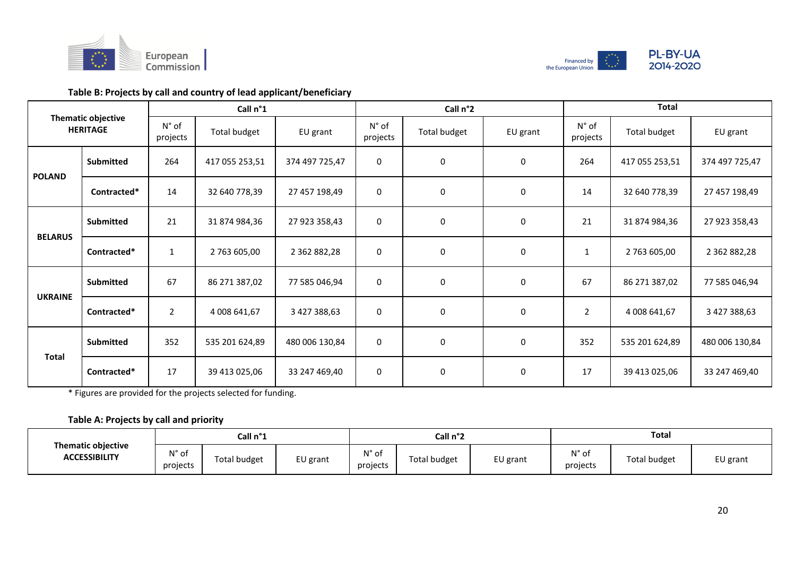



## **Table B: Projects by call and country of lead applicant/beneficiary**

|                |                                              |                            | Call n°1       |                     |                            | Call n°2     |          |                                                                                                                                                           | <b>Total</b>   |                |
|----------------|----------------------------------------------|----------------------------|----------------|---------------------|----------------------------|--------------|----------|-----------------------------------------------------------------------------------------------------------------------------------------------------------|----------------|----------------|
|                | <b>Thematic objective</b><br><b>HERITAGE</b> | $N^{\circ}$ of<br>projects | Total budget   | EU grant            | $N^{\circ}$ of<br>projects | Total budget | EU grant | $N^{\circ}$ of<br>projects                                                                                                                                | Total budget   | EU grant       |
| <b>POLAND</b>  | <b>Submitted</b>                             | 264                        | 417 055 253,51 | 374 497 725,47      | $\mathbf 0$                | $\mathbf 0$  | $\Omega$ | 264                                                                                                                                                       | 417 055 253,51 | 374 497 725,47 |
|                | Contracted*                                  | 14                         | 32 640 778,39  | 27 457 198,49       | $\mathbf 0$                | 0            | 0        | 14                                                                                                                                                        | 32 640 778,39  | 27 457 198,49  |
| <b>BELARUS</b> | <b>Submitted</b>                             | 21                         | 31 874 984,36  | 27 923 358,43       | $\mathbf 0$                | 0            | 0        | 21                                                                                                                                                        | 31 874 984,36  | 27 923 358,43  |
|                | Contracted*                                  | $\mathbf{1}$               | 2 763 605,00   | 2 3 6 2 8 8 2 , 2 8 | 0                          | 0            | 0        | 2 763 605,00<br>$\mathbf{1}$<br>0<br>67<br>86 271 387,02<br>$\overline{2}$<br>0<br>4 008 641,67<br>352<br>0<br>535 201 624,89<br>0<br>17<br>39 413 025,06 | 2 362 882,28   |                |
|                | Submitted                                    | 67                         | 86 271 387,02  | 77 585 046,94       | $\mathbf 0$                | 0            |          |                                                                                                                                                           |                | 77 585 046,94  |
| <b>UKRAINE</b> | Contracted*                                  | $\overline{2}$             | 4 008 641,67   | 3 427 388,63        | 0                          | $\mathbf 0$  |          |                                                                                                                                                           |                | 3 427 388,63   |
| <b>Total</b>   | <b>Submitted</b>                             | 352                        | 535 201 624,89 | 480 006 130,84      | $\mathbf 0$                | 0            |          |                                                                                                                                                           |                | 480 006 130,84 |
|                | Contracted*                                  | 17                         | 39 413 025,06  | 33 247 469,40       | 0                          | $\mathbf 0$  |          |                                                                                                                                                           |                | 33 247 469,40  |

\* Figures are provided for the projects selected for funding.

## **Table A: Projects by call and priority**

| <b>Thematic objective</b> |                            | Call n°1            |          |                   | Call n°2            |          | Total             |              |          |
|---------------------------|----------------------------|---------------------|----------|-------------------|---------------------|----------|-------------------|--------------|----------|
| <b>ACCESSIBILITY</b>      | $N^{\circ}$ of<br>projects | <b>Total budget</b> | EU grant | N° of<br>projects | <b>Total budget</b> | EU grant | N° of<br>projects | Total budget | EU grant |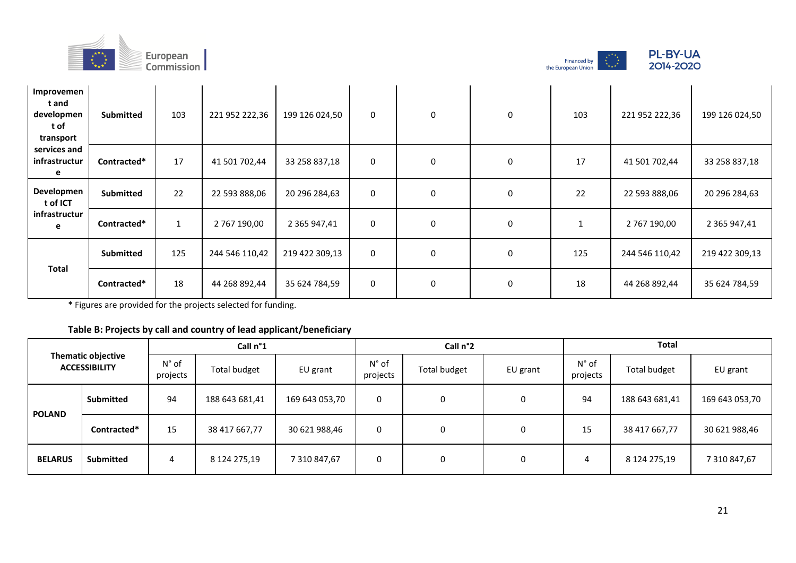





| Improvemen<br>t and<br>developmen<br>t of<br>transport | <b>Submitted</b> | 103          | 221 952 222,36 | 199 126 024,50 | $\mathbf 0$ | 0            | 0 | 103 | 221 952 222,36 | 199 126 024,50      |
|--------------------------------------------------------|------------------|--------------|----------------|----------------|-------------|--------------|---|-----|----------------|---------------------|
| services and<br>infrastructur<br>е                     | Contracted*      | 17           | 41 501 702,44  | 33 258 837,18  | 0           | $\mathbf{0}$ | 0 | 17  | 41 501 702,44  | 33 258 837,18       |
| Developmen<br>t of ICT                                 | <b>Submitted</b> | 22           | 22 593 888,06  | 20 296 284,63  | $\mathbf 0$ | 0            | 0 | 22  | 22 593 888,06  | 20 296 284,63       |
| infrastructur<br>e                                     | Contracted*      | $\mathbf{1}$ | 2 767 190,00   | 2 365 947,41   | $\mathbf 0$ | 0            | 0 |     | 2 767 190,00   | 2 3 6 5 9 4 7 , 4 1 |
| <b>Total</b>                                           | <b>Submitted</b> | 125          | 244 546 110,42 | 219 422 309,13 | 0           | $\mathbf 0$  | 0 | 125 | 244 546 110,42 | 219 422 309,13      |
|                                                        | Contracted*      | 18           | 44 268 892,44  | 35 624 784,59  | $\mathbf 0$ | 0            | 0 | 18  | 44 268 892,44  | 35 624 784,59       |

**\*** Figures are provided for the projects selected for funding.

## **Table B: Projects by call and country of lead applicant/beneficiary**

|                |                                                   | Call n°1                   |                |                |                            | Call n°2     |                                                                                                        | <b>Total</b> |              |                |  |
|----------------|---------------------------------------------------|----------------------------|----------------|----------------|----------------------------|--------------|--------------------------------------------------------------------------------------------------------|--------------|--------------|----------------|--|
|                | <b>Thematic objective</b><br><b>ACCESSIBILITY</b> | $N^{\circ}$ of<br>projects | Total budget   | EU grant       | $N^{\circ}$ of<br>projects | Total budget | N° of<br>Total budget<br>EU grant<br>projects<br>94<br>188 643 681,41<br>0<br>15<br>38 417 667,77<br>0 | EU grant     |              |                |  |
| <b>POLAND</b>  | <b>Submitted</b>                                  | 94                         | 188 643 681,41 | 169 643 053,70 | 0                          | 0            |                                                                                                        |              |              | 169 643 053,70 |  |
|                | Contracted*                                       | 15                         | 38 417 667,77  | 30 621 988,46  | 0                          | 0            |                                                                                                        |              |              | 30 621 988,46  |  |
| <b>BELARUS</b> | <b>Submitted</b>                                  | 4                          | 8 124 275,19   | 7 310 847,67   | 0                          | 0            | 0                                                                                                      | 4            | 8 124 275,19 | 7 310 847,67   |  |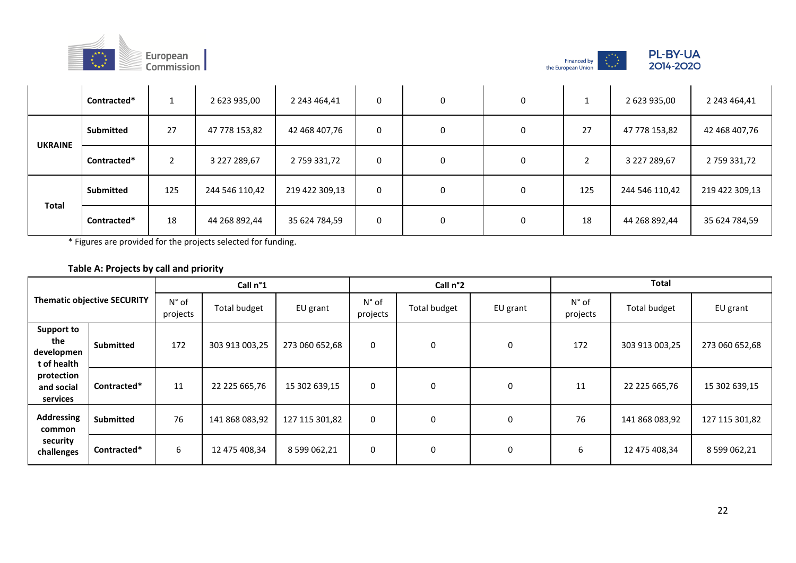





|                | Contracted*      |     | 2 623 935,00   | 2 243 464,41   | 0 | $\Omega$ | 0 |     | 2 623 935,00   | 2 243 464,41   |
|----------------|------------------|-----|----------------|----------------|---|----------|---|-----|----------------|----------------|
|                | <b>Submitted</b> | 27  | 47 778 153,82  | 42 468 407,76  | 0 | 0        | 0 | 27  | 47 778 153,82  | 42 468 407,76  |
| <b>UKRAINE</b> | Contracted*      | 2   | 3 227 289,67   | 2759331,72     | 0 | 0        | 0 |     | 3 227 289,67   | 2759331,72     |
| <b>Total</b>   | <b>Submitted</b> | 125 | 244 546 110,42 | 219 422 309,13 | 0 | 0        | 0 | 125 | 244 546 110,42 | 219 422 309,13 |
|                | Contracted*      | 18  | 44 268 892,44  | 35 624 784,59  | 0 | 0        | 0 | 18  | 44 268 892,44  | 35 624 784,59  |

\* Figures are provided for the projects selected for funding.

## **Table A: Projects by call and priority**

|                                                       |                                    |                            | Call n°1            |                |                            | Call n°2     |          | <b>Total</b>               |                |                |  |
|-------------------------------------------------------|------------------------------------|----------------------------|---------------------|----------------|----------------------------|--------------|----------|----------------------------|----------------|----------------|--|
|                                                       | <b>Thematic objective SECURITY</b> | $N^{\circ}$ of<br>projects | <b>Total budget</b> | EU grant       | $N^{\circ}$ of<br>projects | Total budget | EU grant | $N^{\circ}$ of<br>projects | Total budget   | EU grant       |  |
| <b>Support to</b><br>the<br>developmen<br>t of health | <b>Submitted</b>                   | 172                        | 303 913 003,25      | 273 060 652,68 | 0                          | 0            | 0        | 172                        | 303 913 003,25 | 273 060 652,68 |  |
| protection<br>and social<br>services                  | Contracted*                        | 11                         | 22 225 665,76       | 15 302 639,15  | 0                          | 0            | 0        | 11                         | 22 225 665,76  | 15 302 639,15  |  |
| <b>Addressing</b><br>common                           | Submitted                          | 76                         | 141 868 083,92      | 127 115 301,82 | 0                          | 0            | 0        | 76                         | 141 868 083,92 | 127 115 301,82 |  |
| security<br>challenges                                | Contracted*                        | 6                          | 12 475 408,34       | 8 599 062,21   | 0                          | 0            | 0        | 6                          | 12 475 408,34  | 8 599 062,21   |  |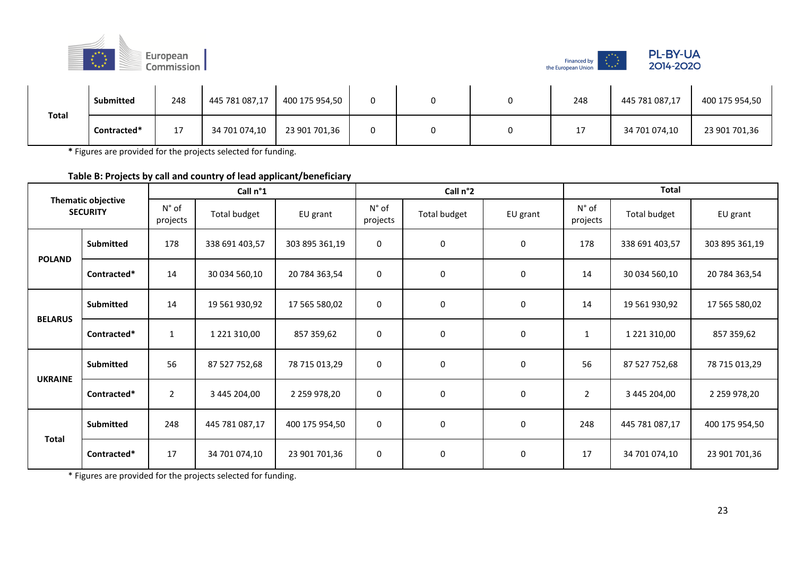



|              | Submitted   | 248            | 445 781 087,17 | 400 175 954,50 |  | 248 | 445 781 087,17 | 400 175 954,50 |
|--------------|-------------|----------------|----------------|----------------|--|-----|----------------|----------------|
| <b>Total</b> | Contracted* | 17<br><b>L</b> | 34 701 074,10  | 23 901 701,36  |  | 17  | 34 701 074,10  | 23 901 701,36  |

**\*** Figures are provided for the projects selected for funding.

**Table B: Projects by call and country of lead applicant/beneficiary**

|                |                                              |                            | Call n°1       |                |                            | Call n°2     |          |                            | <b>Total</b>        |                |
|----------------|----------------------------------------------|----------------------------|----------------|----------------|----------------------------|--------------|----------|----------------------------|---------------------|----------------|
|                | <b>Thematic objective</b><br><b>SECURITY</b> | $N^{\circ}$ of<br>projects | Total budget   | EU grant       | $N^{\circ}$ of<br>projects | Total budget | EU grant | $N^{\circ}$ of<br>projects | Total budget        | EU grant       |
| <b>POLAND</b>  | <b>Submitted</b>                             | 178                        | 338 691 403,57 | 303 895 361,19 | 0                          | 0            | 0        | 178                        | 338 691 403,57      | 303 895 361,19 |
|                | Contracted*                                  | 14                         | 30 034 560,10  | 20 784 363,54  | $\pmb{0}$                  | 0            | 0        | 14                         | 30 034 560,10       | 20 784 363,54  |
| <b>BELARUS</b> | <b>Submitted</b>                             | 14                         | 19 561 930,92  | 17 565 580,02  | $\mathbf 0$                | 0            | 0        | 14                         | 19 561 930,92       | 17 565 580,02  |
|                | Contracted*                                  | $\mathbf{1}$               | 1 221 310,00   | 857 359,62     | 0                          | 0            | 0        | 1                          | 1 2 2 1 3 1 0 , 0 0 | 857 359,62     |
| <b>UKRAINE</b> | Submitted                                    | 56                         | 87 527 752,68  | 78 715 013,29  | 0                          | 0            | 0        | 56                         | 87 527 752,68       | 78 715 013,29  |
|                | Contracted*                                  | $\overline{2}$             | 3 445 204,00   | 2 259 978,20   | 0                          | 0            | 0        | 2                          | 3 445 204,00        | 2 259 978,20   |
| <b>Total</b>   | <b>Submitted</b>                             | 248                        | 445 781 087,17 | 400 175 954,50 | $\mathbf 0$                | $\pmb{0}$    | 0        | 248                        | 445 781 087,17      | 400 175 954,50 |
|                | Contracted*                                  | 17                         | 34 701 074,10  | 23 901 701,36  | $\mathbf 0$                | 0            | 0        | 17                         | 34 701 074,10       | 23 901 701,36  |

\* Figures are provided for the projects selected for funding.

 $\sim$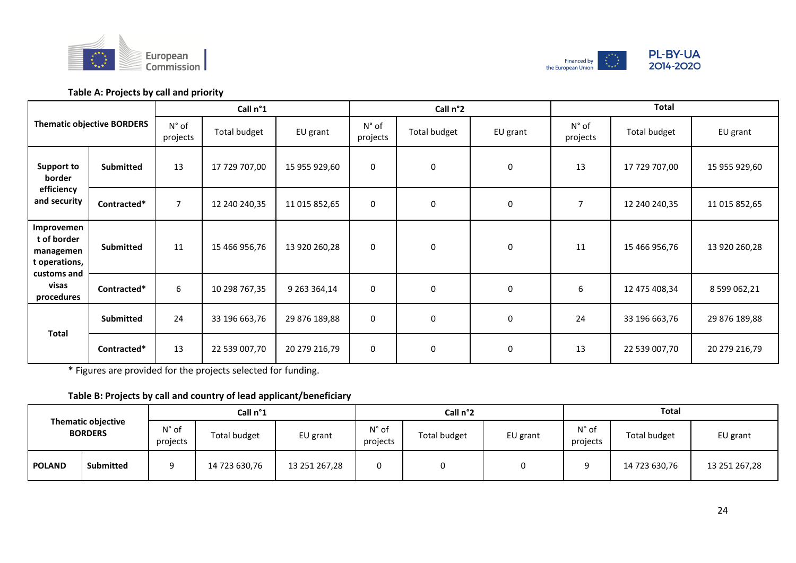



## **Table A: Projects by call and priority**

|                                                         |                                   |                            | Call n°1            |               |                            | Call n°2     |             |                            | <b>Total</b>  |               |
|---------------------------------------------------------|-----------------------------------|----------------------------|---------------------|---------------|----------------------------|--------------|-------------|----------------------------|---------------|---------------|
|                                                         | <b>Thematic objective BORDERS</b> | $N^{\circ}$ of<br>projects | <b>Total budget</b> | EU grant      | $N^{\circ}$ of<br>projects | Total budget | EU grant    | $N^{\circ}$ of<br>projects | Total budget  | EU grant      |
| Support to<br>border                                    | Submitted                         | 13                         | 17 729 707,00       | 15 955 929,60 | 0                          | 0            | 0           | 13                         | 17 729 707,00 | 15 955 929,60 |
| efficiency<br>and security                              | Contracted*                       | $\overline{7}$             | 12 240 240,35       | 11 015 852,65 | $\mathbf 0$                | 0            | $\mathbf 0$ | $\overline{7}$             | 12 240 240,35 | 11 015 852,65 |
| Improvemen<br>t of border<br>managemen<br>t operations, | Submitted                         | 11                         | 15 466 956,76       | 13 920 260,28 | 0                          | 0            | 0           | 11                         | 15 466 956,76 | 13 920 260,28 |
| customs and<br>visas<br>procedures                      | Contracted*                       | 6                          | 10 298 767,35       | 9 263 364,14  | 0                          | 0            | $\mathbf 0$ | 6                          | 12 475 408,34 | 8 599 062,21  |
|                                                         | <b>Submitted</b>                  | 24                         | 33 196 663,76       | 29 876 189,88 | $\mathbf 0$                | 0            | 0           | 24                         | 33 196 663,76 | 29 876 189,88 |
| <b>Total</b>                                            | Contracted*                       | 13                         | 22 539 007,70       | 20 279 216,79 | $\mathbf 0$                | $\mathbf 0$  | $\mathbf 0$ | 13                         | 22 539 007,70 | 20 279 216,79 |

**\*** Figures are provided for the projects selected for funding.

## **Table B: Projects by call and country of lead applicant/beneficiary**

|                                                                                  |                            | Call n°1     |               |                            |                     | Call n°2 |                            | Total               |               |               |  |
|----------------------------------------------------------------------------------|----------------------------|--------------|---------------|----------------------------|---------------------|----------|----------------------------|---------------------|---------------|---------------|--|
| <b>Thematic objective</b><br><b>BORDERS</b><br><b>Submitted</b><br><b>POLAND</b> | $N^{\circ}$ of<br>projects | Total budget | EU grant      | $N^{\circ}$ of<br>projects | <b>Total budget</b> | EU grant | $N^{\circ}$ of<br>projects | <b>Total budget</b> | EU grant      |               |  |
|                                                                                  |                            |              | 14 723 630,76 | 13 251 267,28              |                     |          |                            | Q                   | 14 723 630,76 | 13 251 267,28 |  |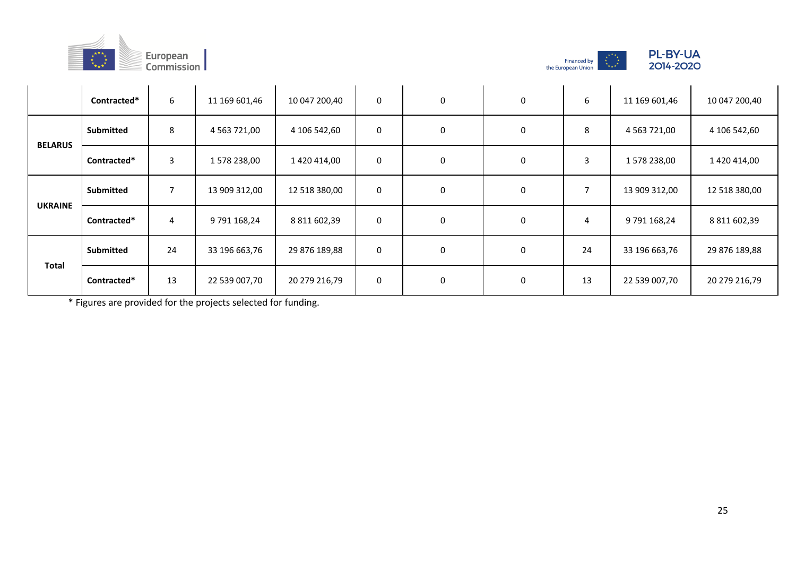





|                | Contracted*      | 6  | 11 169 601,46   | 10 047 200,40 | $\mathbf 0$ | 0 | 0 | 6  | 11 169 601,46      | 10 047 200,40 |
|----------------|------------------|----|-----------------|---------------|-------------|---|---|----|--------------------|---------------|
| <b>BELARUS</b> | Submitted        | 8  | 4 5 63 7 2 1,00 | 4 106 542,60  | $\mathbf 0$ | 0 | 0 | 8  | 4 5 63 7 2 1 , 0 0 | 4 106 542,60  |
|                | Contracted*      | 3  | 1 578 238,00    | 1 420 414,00  | $\mathbf 0$ | 0 | 0 | 3  | 1578 238,00        | 1 420 414,00  |
| <b>UKRAINE</b> | <b>Submitted</b> | 7  | 13 909 312,00   | 12 518 380,00 | 0           | 0 | 0 |    | 13 909 312,00      | 12 518 380,00 |
|                | Contracted*      | 4  | 9 791 168,24    | 8 811 602,39  | $\mathbf 0$ | 0 | 0 | 4  | 9 791 168,24       | 8 811 602,39  |
| <b>Total</b>   | <b>Submitted</b> | 24 | 33 196 663,76   | 29 876 189,88 | 0           | 0 | 0 | 24 | 33 196 663,76      | 29 876 189,88 |
|                | Contracted*      | 13 | 22 539 007,70   | 20 279 216,79 | $\mathbf 0$ | 0 | 0 | 13 | 22 539 007,70      | 20 279 216,79 |

\* Figures are provided for the projects selected for funding.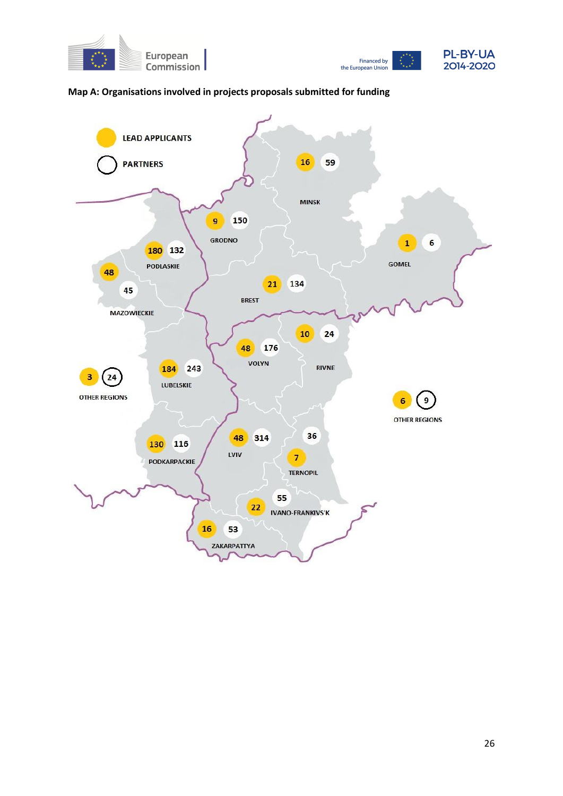



## **Map A: Organisations involved in projects proposals submitted for funding**

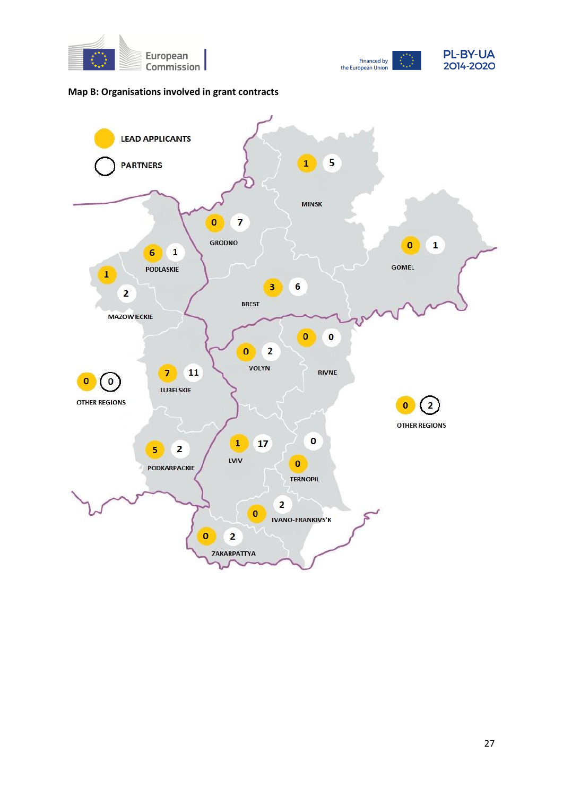



## **Map B: Organisations involved in grant contracts**

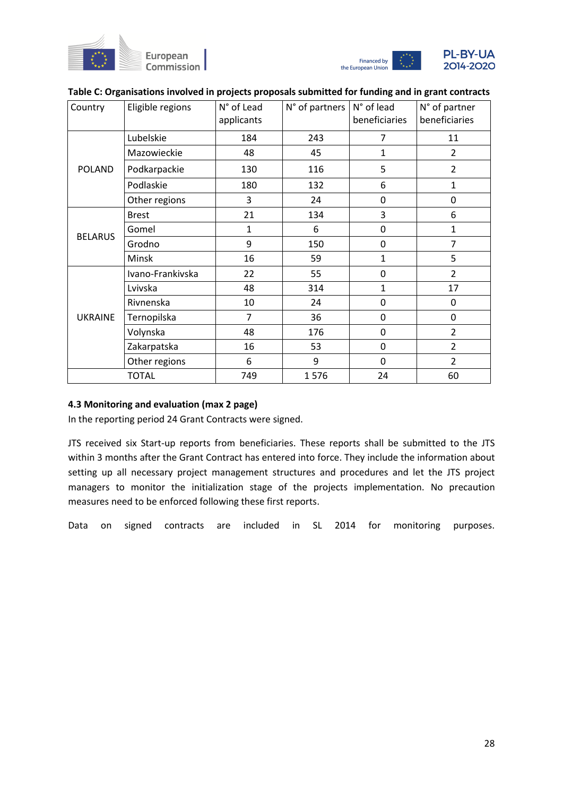



| Country        | Eligible regions | N° of Lead<br>applicants | N° of partners | N° of lead<br>beneficiaries | N° of partner<br>beneficiaries |
|----------------|------------------|--------------------------|----------------|-----------------------------|--------------------------------|
|                | Lubelskie        | 184                      | 243            | 7                           | 11                             |
|                | Mazowieckie      | 48                       | 45             | $\mathbf{1}$                | $\overline{2}$                 |
| <b>POLAND</b>  | Podkarpackie     | 130                      | 116            | 5                           | $\overline{2}$                 |
|                | Podlaskie        | 180                      | 132            | 6                           | 1                              |
|                | Other regions    | 3                        | 24             | 0                           | 0                              |
|                | <b>Brest</b>     | 21                       | 134            | 3                           | 6                              |
| <b>BELARUS</b> | Gomel            | $\mathbf{1}$             | 6              | 0                           | 1                              |
|                | Grodno           | 9                        | 150            | 0                           | $\overline{7}$                 |
|                | Minsk            | 16                       | 59             | $\mathbf{1}$                | 5                              |
|                | Ivano-Frankivska | 22                       | 55             | 0                           | $\overline{2}$                 |
|                | Lvivska          | 48                       | 314            | $\mathbf{1}$                | 17                             |
|                | Rivnenska        | 10                       | 24             | 0                           | 0                              |
| <b>UKRAINE</b> | Ternopilska      | $\overline{7}$           | 36             | 0                           | 0                              |
|                | Volynska         | 48                       | 176            | 0                           | $\overline{2}$                 |
|                | Zakarpatska      | 16                       | 53             | 0                           | $\overline{2}$                 |
|                | Other regions    | 6                        | 9              | 0                           | $\overline{2}$                 |
| <b>TOTAL</b>   |                  | 749                      | 1576           | 24                          | 60                             |

## **Table C: Organisations involved in projects proposals submitted for funding and in grant contracts**

## **4.3 Monitoring and evaluation (max 2 page)**

In the reporting period 24 Grant Contracts were signed.

JTS received six Start-up reports from beneficiaries. These reports shall be submitted to the JTS within 3 months after the Grant Contract has entered into force. They include the information about setting up all necessary project management structures and procedures and let the JTS project managers to monitor the initialization stage of the projects implementation. No precaution measures need to be enforced following these first reports.

Data on signed contracts are included in SL 2014 for monitoring purposes.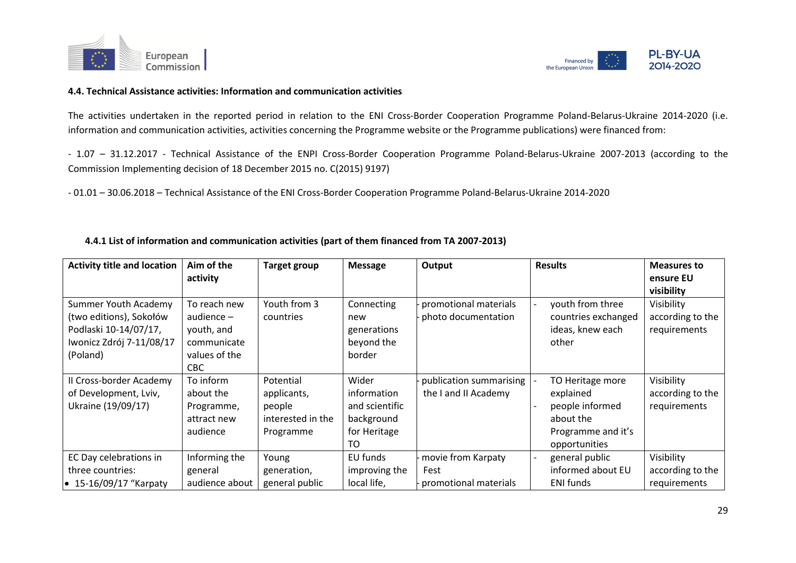



#### **4.4. Technical Assistance activities: Information and communication activities**

The activities undertaken in the reported period in relation to the ENI Cross-Border Cooperation Programme Poland-Belarus-Ukraine 2014-2020 (i.e. information and communication activities, activities concerning the Programme website or the Programme publications) were financed from:

- 1.07 – 31.12.2017 - Technical Assistance of the ENPI Cross-Border Cooperation Programme Poland-Belarus-Ukraine 2007-2013 (according to the Commission Implementing decision of 18 December 2015 no. C(2015) 9197)

- 01.01 – 30.06.2018 – Technical Assistance of the ENI Cross-Border Cooperation Programme Poland-Belarus-Ukraine 2014-2020

| <b>Activity title and location</b>                                                                               | Aim of the                                                                         | <b>Target group</b>                                                  | <b>Message</b>                                                                         | Output                                              | <b>Results</b>                                                                                       | <b>Measures to</b>                             |
|------------------------------------------------------------------------------------------------------------------|------------------------------------------------------------------------------------|----------------------------------------------------------------------|----------------------------------------------------------------------------------------|-----------------------------------------------------|------------------------------------------------------------------------------------------------------|------------------------------------------------|
|                                                                                                                  | activity                                                                           |                                                                      |                                                                                        |                                                     |                                                                                                      | ensure EU<br>visibility                        |
| Summer Youth Academy<br>(two editions), Sokołów<br>Podlaski 10-14/07/17,<br>Iwonicz Zdrój 7-11/08/17<br>(Poland) | To reach new<br>audience $-$<br>youth, and<br>communicate<br>values of the<br>CBC. | Youth from 3<br>countries                                            | Connecting<br>new<br>generations<br>beyond the<br>border                               | promotional materials<br>photo documentation        | youth from three<br>countries exchanged<br>ideas, knew each<br>other                                 | Visibility<br>according to the<br>requirements |
| II Cross-border Academy<br>of Development, Lviv,<br>Ukraine (19/09/17)                                           | To inform<br>about the<br>Programme,<br>attract new<br>audience                    | Potential<br>applicants,<br>people<br>interested in the<br>Programme | Wider<br>information<br>and scientific<br>background<br>for Heritage<br>T <sub>O</sub> | publication summarising<br>the I and II Academy     | TO Heritage more<br>explained<br>people informed<br>about the<br>Programme and it's<br>opportunities | Visibility<br>according to the<br>requirements |
| EC Day celebrations in<br>three countries:<br>$\bullet$ 15-16/09/17 "Karpaty                                     | Informing the<br>general<br>audience about                                         | Young<br>generation,<br>general public                               | EU funds<br>improving the<br>local life,                                               | movie from Karpaty<br>Fest<br>promotional materials | general public<br>informed about EU<br><b>ENI</b> funds                                              | Visibility<br>according to the<br>requirements |

### **4.4.1 List of information and communication activities (part of them financed from TA 2007-2013)**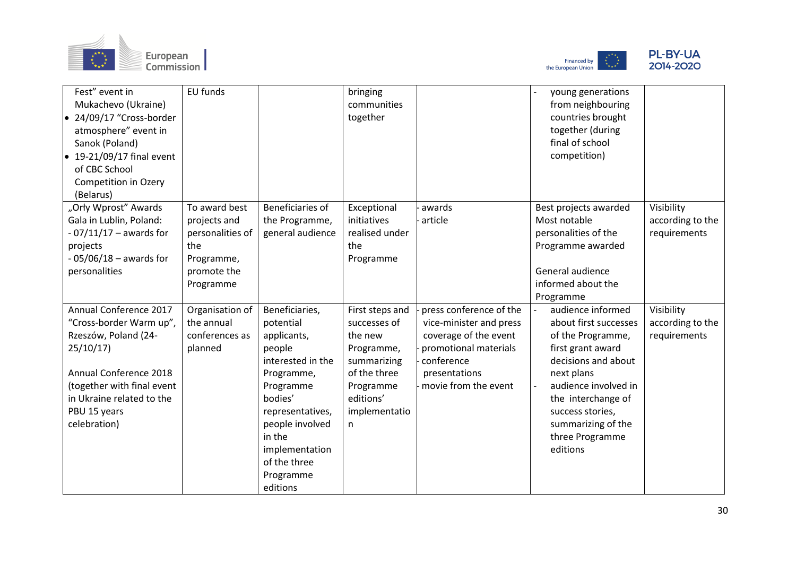





| Fest" event in<br>Mukachevo (Ukraine)<br>• 24/09/17 "Cross-border<br>atmosphere" event in<br>Sanok (Poland)<br>$\bullet$ 19-21/09/17 final event<br>of CBC School<br>Competition in Ozery<br>(Belarus) | EU funds                      |                                    | bringing<br>communities<br>together |                                                  | young generations<br>from neighbouring<br>countries brought<br>together (during<br>final of school<br>competition) |                                  |
|--------------------------------------------------------------------------------------------------------------------------------------------------------------------------------------------------------|-------------------------------|------------------------------------|-------------------------------------|--------------------------------------------------|--------------------------------------------------------------------------------------------------------------------|----------------------------------|
| "Orły Wprost" Awards<br>Gala in Lublin, Poland:                                                                                                                                                        | To award best<br>projects and | Beneficiaries of<br>the Programme, | Exceptional<br>initiatives          | awards<br>article                                | Best projects awarded<br>Most notable                                                                              | Visibility<br>according to the   |
| $-07/11/17 -$ awards for                                                                                                                                                                               | personalities of              | general audience                   | realised under                      |                                                  | personalities of the                                                                                               | requirements                     |
| projects                                                                                                                                                                                               | the                           |                                    | the                                 |                                                  | Programme awarded                                                                                                  |                                  |
| $-05/06/18 -$ awards for                                                                                                                                                                               | Programme,                    |                                    | Programme                           |                                                  |                                                                                                                    |                                  |
| personalities                                                                                                                                                                                          | promote the                   |                                    |                                     |                                                  | General audience                                                                                                   |                                  |
|                                                                                                                                                                                                        | Programme                     |                                    |                                     |                                                  | informed about the                                                                                                 |                                  |
|                                                                                                                                                                                                        |                               |                                    |                                     |                                                  | Programme                                                                                                          |                                  |
| Annual Conference 2017                                                                                                                                                                                 | Organisation of<br>the annual | Beneficiaries,                     | First steps and                     | press conference of the                          | audience informed                                                                                                  | Visibility                       |
| "Cross-border Warm up",<br>Rzeszów, Poland (24-                                                                                                                                                        | conferences as                | potential<br>applicants,           | successes of<br>the new             | vice-minister and press<br>coverage of the event | about first successes<br>of the Programme,                                                                         | according to the<br>requirements |
| 25/10/17                                                                                                                                                                                               | planned                       | people                             | Programme,                          | promotional materials                            | first grant award                                                                                                  |                                  |
|                                                                                                                                                                                                        |                               | interested in the                  | summarizing                         | conference                                       | decisions and about                                                                                                |                                  |
| Annual Conference 2018                                                                                                                                                                                 |                               | Programme,                         | of the three                        | presentations                                    | next plans                                                                                                         |                                  |
| (together with final event                                                                                                                                                                             |                               | Programme                          | Programme                           | movie from the event                             | audience involved in                                                                                               |                                  |
| in Ukraine related to the                                                                                                                                                                              |                               | bodies'                            | editions'                           |                                                  | the interchange of                                                                                                 |                                  |
| PBU 15 years                                                                                                                                                                                           |                               | representatives,                   | implementatio                       |                                                  | success stories,                                                                                                   |                                  |
| celebration)                                                                                                                                                                                           |                               | people involved                    | n                                   |                                                  | summarizing of the                                                                                                 |                                  |
|                                                                                                                                                                                                        |                               | in the                             |                                     |                                                  | three Programme                                                                                                    |                                  |
|                                                                                                                                                                                                        |                               | implementation                     |                                     |                                                  | editions                                                                                                           |                                  |
|                                                                                                                                                                                                        |                               | of the three                       |                                     |                                                  |                                                                                                                    |                                  |
|                                                                                                                                                                                                        |                               | Programme                          |                                     |                                                  |                                                                                                                    |                                  |
|                                                                                                                                                                                                        |                               | editions                           |                                     |                                                  |                                                                                                                    |                                  |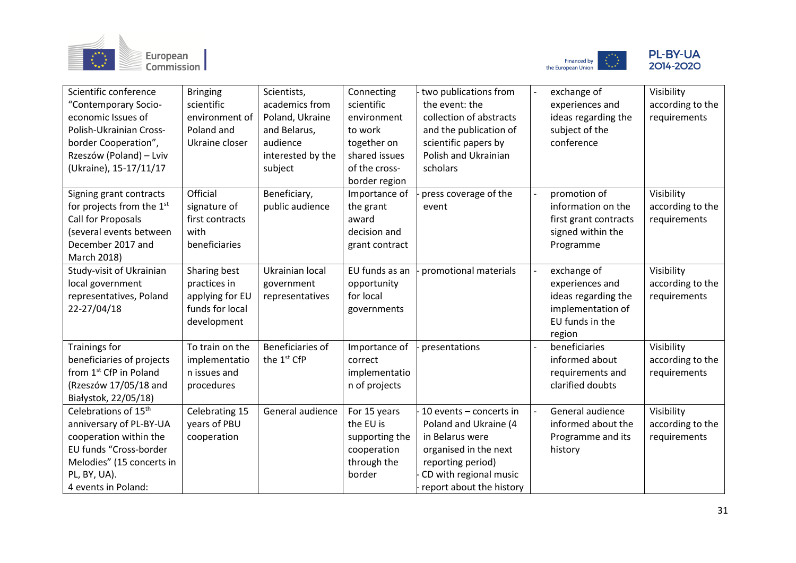





| Scientific conference<br>"Contemporary Socio-<br>economic Issues of<br>Polish-Ukrainian Cross-<br>border Cooperation",<br>Rzeszów (Poland) – Lviv<br>(Ukraine), 15-17/11/17         | <b>Bringing</b><br>scientific<br>environment of<br>Poland and<br>Ukraine closer   | Scientists,<br>academics from<br>Poland, Ukraine<br>and Belarus,<br>audience<br>interested by the<br>subject | Connecting<br>scientific<br>environment<br>to work<br>together on<br>shared issues<br>of the cross-<br>border region | two publications from<br>the event: the<br>collection of abstracts<br>and the publication of<br>scientific papers by<br>Polish and Ukrainian<br>scholars                | exchange of<br>experiences and<br>ideas regarding the<br>subject of the<br>conference                   | Visibility<br>according to the<br>requirements |
|-------------------------------------------------------------------------------------------------------------------------------------------------------------------------------------|-----------------------------------------------------------------------------------|--------------------------------------------------------------------------------------------------------------|----------------------------------------------------------------------------------------------------------------------|-------------------------------------------------------------------------------------------------------------------------------------------------------------------------|---------------------------------------------------------------------------------------------------------|------------------------------------------------|
| Signing grant contracts<br>for projects from the $1st$<br>Call for Proposals<br>(several events between<br>December 2017 and<br>March 2018)                                         | Official<br>signature of<br>first contracts<br>with<br>beneficiaries              | Beneficiary,<br>public audience                                                                              | Importance of<br>the grant<br>award<br>decision and<br>grant contract                                                | press coverage of the<br>event                                                                                                                                          | promotion of<br>information on the<br>first grant contracts<br>signed within the<br>Programme           | Visibility<br>according to the<br>requirements |
| Study-visit of Ukrainian<br>local government<br>representatives, Poland<br>22-27/04/18                                                                                              | Sharing best<br>practices in<br>applying for EU<br>funds for local<br>development | Ukrainian local<br>government<br>representatives                                                             | EU funds as an<br>opportunity<br>for local<br>governments                                                            | promotional materials                                                                                                                                                   | exchange of<br>experiences and<br>ideas regarding the<br>implementation of<br>EU funds in the<br>region | Visibility<br>according to the<br>requirements |
| <b>Trainings for</b><br>beneficiaries of projects<br>from 1 <sup>st</sup> CfP in Poland<br>(Rzeszów 17/05/18 and<br>Białystok, 22/05/18)                                            | To train on the<br>implementatio<br>n issues and<br>procedures                    | Beneficiaries of<br>the 1 <sup>st</sup> CfP                                                                  | Importance of<br>correct<br>implementatio<br>n of projects                                                           | presentations                                                                                                                                                           | beneficiaries<br>informed about<br>requirements and<br>clarified doubts                                 | Visibility<br>according to the<br>requirements |
| Celebrations of 15 <sup>th</sup><br>anniversary of PL-BY-UA<br>cooperation within the<br>EU funds "Cross-border<br>Melodies" (15 concerts in<br>PL, BY, UA).<br>4 events in Poland: | Celebrating 15<br>years of PBU<br>cooperation                                     | General audience                                                                                             | For 15 years<br>the EU is<br>supporting the<br>cooperation<br>through the<br>border                                  | 10 events - concerts in<br>Poland and Ukraine (4<br>in Belarus were<br>organised in the next<br>reporting period)<br>CD with regional music<br>report about the history | General audience<br>informed about the<br>Programme and its<br>history                                  | Visibility<br>according to the<br>requirements |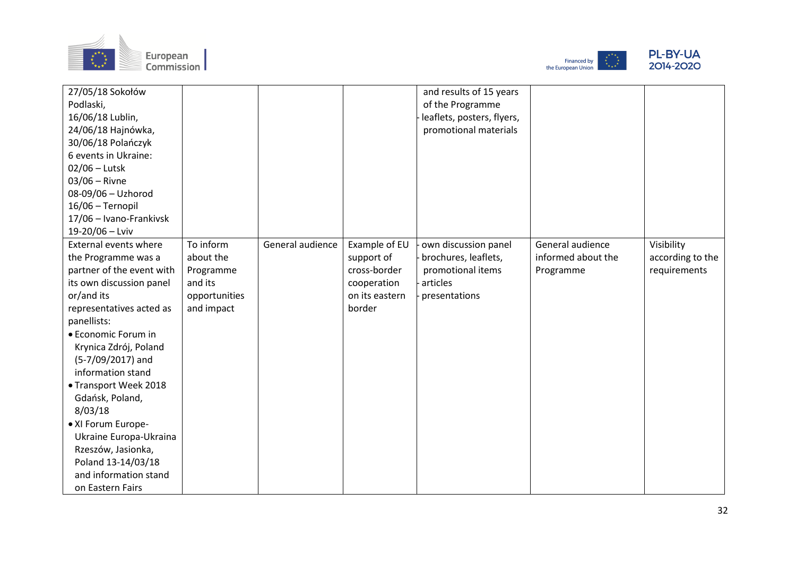





| 27/05/18 Sokołów             |               |                  |                | and results of 15 years    |                    |                  |
|------------------------------|---------------|------------------|----------------|----------------------------|--------------------|------------------|
| Podlaski,                    |               |                  |                | of the Programme           |                    |                  |
| 16/06/18 Lublin,             |               |                  |                | leaflets, posters, flyers, |                    |                  |
| 24/06/18 Hajnówka,           |               |                  |                | promotional materials      |                    |                  |
| 30/06/18 Polańczyk           |               |                  |                |                            |                    |                  |
| 6 events in Ukraine:         |               |                  |                |                            |                    |                  |
| $02/06$ – Lutsk              |               |                  |                |                            |                    |                  |
| $03/06 -$ Rivne              |               |                  |                |                            |                    |                  |
| 08-09/06 - Uzhorod           |               |                  |                |                            |                    |                  |
| 16/06 - Ternopil             |               |                  |                |                            |                    |                  |
| 17/06 - Ivano-Frankivsk      |               |                  |                |                            |                    |                  |
| 19-20/06 - Lviv              |               |                  |                |                            |                    |                  |
| <b>External events where</b> | To inform     | General audience | Example of EU  | own discussion panel       | General audience   | Visibility       |
| the Programme was a          | about the     |                  | support of     | brochures, leaflets,       | informed about the | according to the |
| partner of the event with    | Programme     |                  | cross-border   | promotional items          | Programme          | requirements     |
| its own discussion panel     | and its       |                  | cooperation    | articles                   |                    |                  |
| or/and its                   | opportunities |                  | on its eastern | presentations              |                    |                  |
| representatives acted as     | and impact    |                  | border         |                            |                    |                  |
| panellists:                  |               |                  |                |                            |                    |                  |
| • Economic Forum in          |               |                  |                |                            |                    |                  |
| Krynica Zdrój, Poland        |               |                  |                |                            |                    |                  |
| (5-7/09/2017) and            |               |                  |                |                            |                    |                  |
| information stand            |               |                  |                |                            |                    |                  |
| • Transport Week 2018        |               |                  |                |                            |                    |                  |
| Gdańsk, Poland,              |               |                  |                |                            |                    |                  |
| 8/03/18                      |               |                  |                |                            |                    |                  |
| • XI Forum Europe-           |               |                  |                |                            |                    |                  |
| Ukraine Europa-Ukraina       |               |                  |                |                            |                    |                  |
| Rzeszów, Jasionka,           |               |                  |                |                            |                    |                  |
| Poland 13-14/03/18           |               |                  |                |                            |                    |                  |
| and information stand        |               |                  |                |                            |                    |                  |
| on Eastern Fairs             |               |                  |                |                            |                    |                  |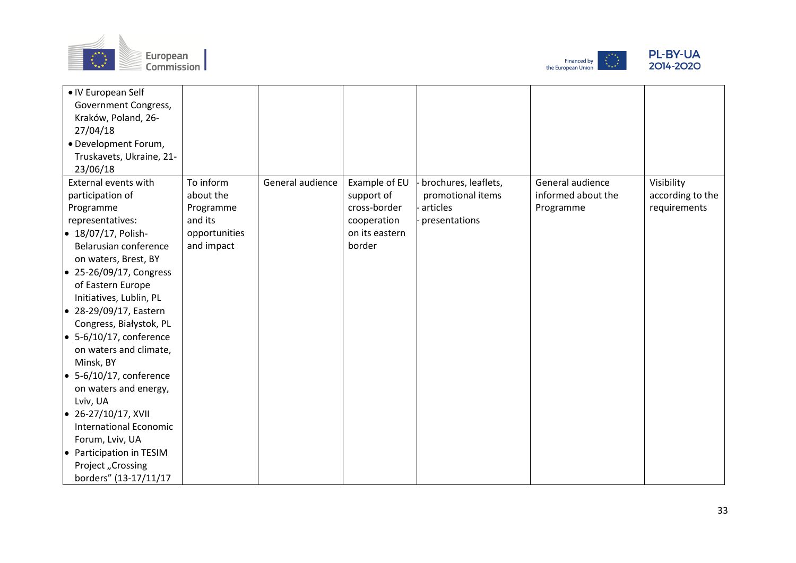





| • IV European Self              |               |                  |                |                      |                    |                  |
|---------------------------------|---------------|------------------|----------------|----------------------|--------------------|------------------|
| Government Congress,            |               |                  |                |                      |                    |                  |
| Kraków, Poland, 26-             |               |                  |                |                      |                    |                  |
| 27/04/18                        |               |                  |                |                      |                    |                  |
| · Development Forum,            |               |                  |                |                      |                    |                  |
| Truskavets, Ukraine, 21-        |               |                  |                |                      |                    |                  |
| 23/06/18                        |               |                  |                |                      |                    |                  |
| External events with            | To inform     | General audience | Example of EU  | brochures, leaflets, | General audience   | Visibility       |
| participation of                | about the     |                  | support of     | promotional items    | informed about the | according to the |
| Programme                       | Programme     |                  | cross-border   | articles             | Programme          | requirements     |
| representatives:                | and its       |                  | cooperation    | presentations        |                    |                  |
| $\bullet$ 18/07/17, Polish-     | opportunities |                  | on its eastern |                      |                    |                  |
| Belarusian conference           | and impact    |                  | border         |                      |                    |                  |
| on waters, Brest, BY            |               |                  |                |                      |                    |                  |
| $\bullet$ 25-26/09/17, Congress |               |                  |                |                      |                    |                  |
| of Eastern Europe               |               |                  |                |                      |                    |                  |
| Initiatives, Lublin, PL         |               |                  |                |                      |                    |                  |
| $\bullet$ 28-29/09/17, Eastern  |               |                  |                |                      |                    |                  |
| Congress, Białystok, PL         |               |                  |                |                      |                    |                  |
| $\bullet$ 5-6/10/17, conference |               |                  |                |                      |                    |                  |
| on waters and climate,          |               |                  |                |                      |                    |                  |
| Minsk, BY                       |               |                  |                |                      |                    |                  |
| $\bullet$ 5-6/10/17, conference |               |                  |                |                      |                    |                  |
| on waters and energy,           |               |                  |                |                      |                    |                  |
| Lviv, UA                        |               |                  |                |                      |                    |                  |
| $\bullet$ 26-27/10/17, XVII     |               |                  |                |                      |                    |                  |
| <b>International Economic</b>   |               |                  |                |                      |                    |                  |
| Forum, Lviv, UA                 |               |                  |                |                      |                    |                  |
| • Participation in TESIM        |               |                  |                |                      |                    |                  |
| Project "Crossing               |               |                  |                |                      |                    |                  |
| borders" (13-17/11/17           |               |                  |                |                      |                    |                  |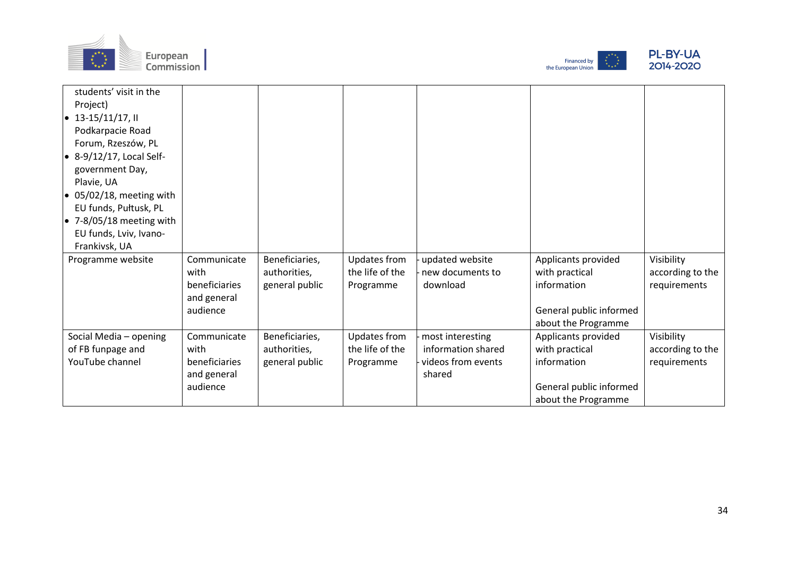





| students' visit in the           |               |                |                     |                    |                         |                  |
|----------------------------------|---------------|----------------|---------------------|--------------------|-------------------------|------------------|
| Project)                         |               |                |                     |                    |                         |                  |
| $13-15/11/17$ , II               |               |                |                     |                    |                         |                  |
| Podkarpacie Road                 |               |                |                     |                    |                         |                  |
| Forum, Rzeszów, PL               |               |                |                     |                    |                         |                  |
| $\bullet$ 8-9/12/17, Local Self- |               |                |                     |                    |                         |                  |
| government Day,                  |               |                |                     |                    |                         |                  |
| Plavie, UA                       |               |                |                     |                    |                         |                  |
| $\bullet$ 05/02/18, meeting with |               |                |                     |                    |                         |                  |
| EU funds, Pułtusk, PL            |               |                |                     |                    |                         |                  |
| $\bullet$ 7-8/05/18 meeting with |               |                |                     |                    |                         |                  |
| EU funds, Lviv, Ivano-           |               |                |                     |                    |                         |                  |
| Frankivsk, UA                    |               |                |                     |                    |                         |                  |
| Programme website                | Communicate   | Beneficiaries, | Updates from        | updated website    | Applicants provided     | Visibility       |
|                                  | with          | authorities,   | the life of the     | new documents to   | with practical          | according to the |
|                                  | beneficiaries | general public | Programme           | download           | information             | requirements     |
|                                  | and general   |                |                     |                    |                         |                  |
|                                  | audience      |                |                     |                    | General public informed |                  |
|                                  |               |                |                     |                    | about the Programme     |                  |
| Social Media - opening           | Communicate   | Beneficiaries, | <b>Updates from</b> | most interesting   | Applicants provided     | Visibility       |
| of FB funpage and                | with          | authorities,   | the life of the     | information shared | with practical          | according to the |
| YouTube channel                  | beneficiaries | general public | Programme           | videos from events | information             | requirements     |
|                                  | and general   |                |                     | shared             |                         |                  |
|                                  | audience      |                |                     |                    | General public informed |                  |
|                                  |               |                |                     |                    | about the Programme     |                  |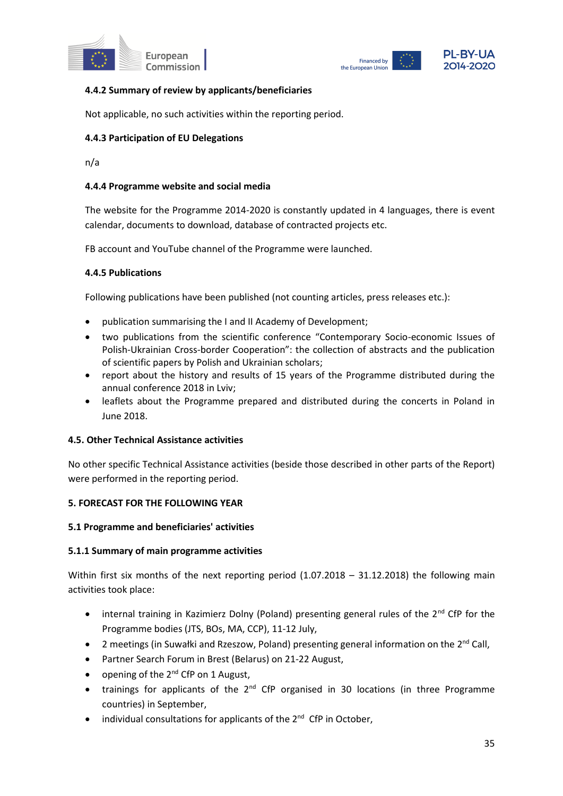



## **4.4.2 Summary of review by applicants/beneficiaries**

Not applicable, no such activities within the reporting period.

## **4.4.3 Participation of EU Delegations**

n/a

### **4.4.4 Programme website and social media**

The website for the Programme 2014-2020 is constantly updated in 4 languages, there is event calendar, documents to download, database of contracted projects etc.

FB account and YouTube channel of the Programme were launched.

### **4.4.5 Publications**

Following publications have been published (not counting articles, press releases etc.):

- publication summarising the I and II Academy of Development;
- two publications from the scientific conference "Contemporary Socio-economic Issues of Polish-Ukrainian Cross-border Cooperation": the collection of abstracts and the publication of scientific papers by Polish and Ukrainian scholars;
- report about the history and results of 15 years of the Programme distributed during the annual conference 2018 in Lviv;
- leaflets about the Programme prepared and distributed during the concerts in Poland in June 2018.

### **4.5. Other Technical Assistance activities**

No other specific Technical Assistance activities (beside those described in other parts of the Report) were performed in the reporting period.

### **5. FORECAST FOR THE FOLLOWING YEAR**

### **5.1 Programme and beneficiaries' activities**

### **5.1.1 Summary of main programme activities**

Within first six months of the next reporting period (1.07.2018 – 31.12.2018) the following main activities took place:

- internal training in Kazimierz Dolny (Poland) presenting general rules of the  $2^{nd}$  CfP for the Programme bodies (JTS, BOs, MA, CCP), 11-12 July,
- 2 meetings (in Suwałki and Rzeszow, Poland) presenting general information on the  $2^{nd}$  Call,
- Partner Search Forum in Brest (Belarus) on 21-22 August,
- opening of the  $2^{nd}$  CfP on 1 August,
- trainings for applicants of the  $2^{nd}$  CfP organised in 30 locations (in three Programme countries) in September,
- individual consultations for applicants of the  $2^{nd}$  CfP in October,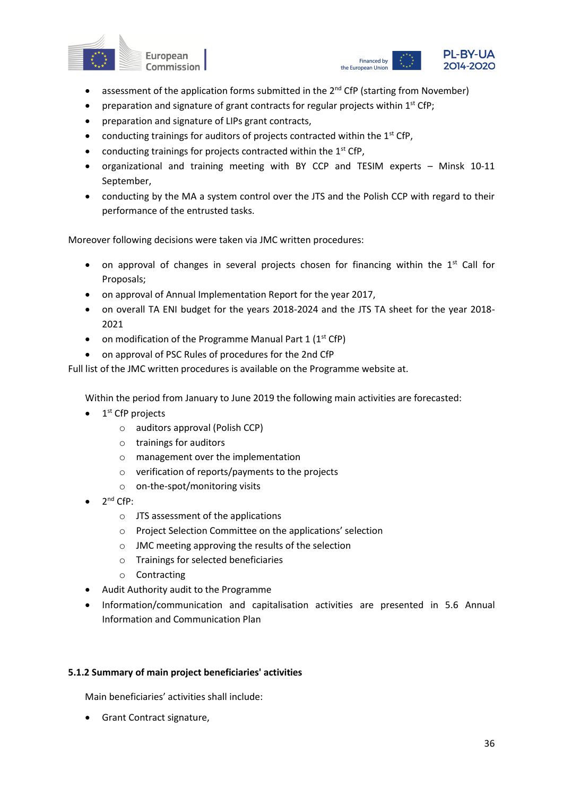



- assessment of the application forms submitted in the 2<sup>nd</sup> CfP (starting from November)
- preparation and signature of grant contracts for regular projects within  $1<sup>st</sup> Cfp$ ;
- preparation and signature of LIPs grant contracts,
- conducting trainings for auditors of projects contracted within the  $1<sup>st</sup>$  CfP,
- conducting trainings for projects contracted within the 1<sup>st</sup> CfP,
- organizational and training meeting with BY CCP and TESIM experts Minsk 10-11 September,
- conducting by the MA a system control over the JTS and the Polish CCP with regard to their performance of the entrusted tasks.

Moreover following decisions were taken via JMC written procedures:

- on approval of changes in several projects chosen for financing within the  $1<sup>st</sup>$  Call for Proposals;
- on approval of Annual Implementation Report for the year 2017,
- on overall TA ENI budget for the years 2018-2024 and the JTS TA sheet for the year 2018- 2021
- on modification of the Programme Manual Part  $1 (1<sup>st</sup> CfP)$
- on approval of PSC Rules of procedures for the 2nd CfP

Full list of the JMC written procedures is available on the Programme website at.

Within the period from January to June 2019 the following main activities are forecasted:

- $\bullet$  1<sup>st</sup> CfP projects
	- o auditors approval (Polish CCP)
	- o trainings for auditors
	- o management over the implementation
	- o verification of reports/payments to the projects
	- o on-the-spot/monitoring visits
- $\bullet$  2<sup>nd</sup> CfP:
	- o JTS assessment of the applications
	- o Project Selection Committee on the applications' selection
	- o JMC meeting approving the results of the selection
	- o Trainings for selected beneficiaries
	- o Contracting
- Audit Authority audit to the Programme
- Information/communication and capitalisation activities are presented in 5.6 Annual Information and Communication Plan

#### **5.1.2 Summary of main project beneficiaries' activities**

Main beneficiaries' activities shall include:

• Grant Contract signature,